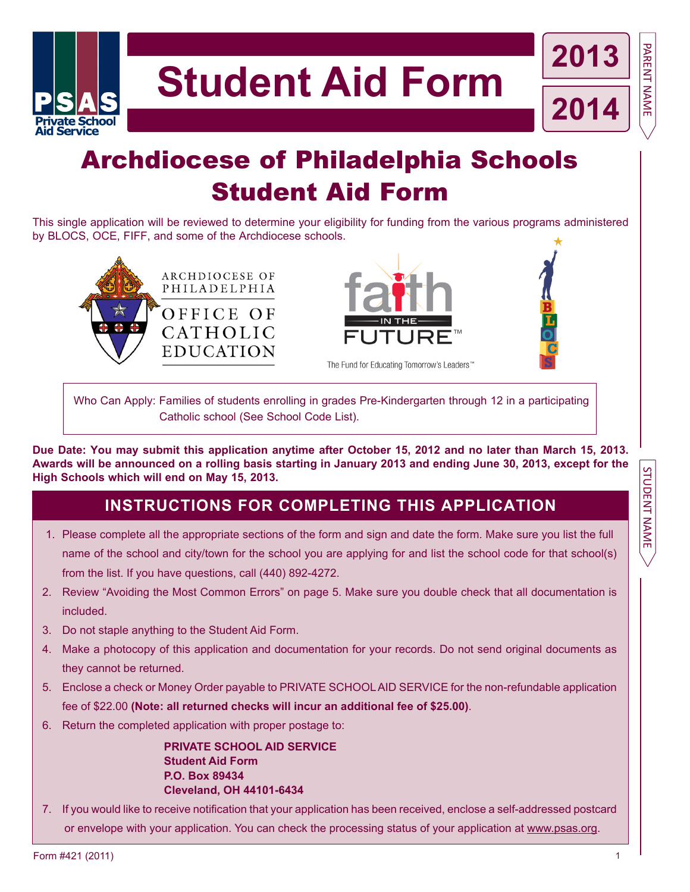

# Archdiocese of Philadelphia Schools Student Aid Form

This single application will be reviewed to determine your eligibility for funding from the various programs administered by BLOCS, OCE, FIFF, and some of the Archdiocese schools.







PARENT NAME PART NAMES PARENT NAMES PARENT NAMES PARENT NAMES PARENT NAMES PARENT NAMES PARENT NAMES PARENT NAMES PART OF PARTIES.

**STUDENT NAME** 

PARENT NAME

Who Can Apply: Families of students enrolling in grades Pre-Kindergarten through 12 in a participating Catholic school (See School Code List).

**Due Date: You may submit this application anytime after October 15, 2012 and no later than march 15, 2013. Awards will be announced on a rolling basis starting in January 2013 and ending June 30, 2013, except for the High Schools which will end on may 15, 2013.**

## **INSTRuCTIONS FOR COmPLETINg THIS APPLICATION**

- 1. Please complete all the appropriate sections of the form and sign and date the form. Make sure you list the full name of the school and city/town for the school you are applying for and list the school code for that school(s) from the list. If you have questions, call (440) 892-4272.
- 2. Review "Avoiding the Most Common Errors" on page 5. Make sure you double check that all documentation is included.
- 3. Do not staple anything to the Student Aid Form.
- 4. Make a photocopy of this application and documentation for your records. Do not send original documents as they cannot be returned.
- 5. Enclose a check or Money Order payable to PRIVATE SCHOOL AID SERVICE for the non-refundable application fee of \$22.00 **(Note: all returned checks will incur an additional fee of \$25.00)**.
- 6. Return the completed application with proper postage to:

 **PRIVATE SCHOOL AID SERVICE Student Aid Form P.O. Box 89434 Cleveland, OH 44101-6434**

7. If you would like to receive notification that your application has been received, enclose a self-addressed postcard or envelope with your application. You can check the processing status of your application at www.psas.org.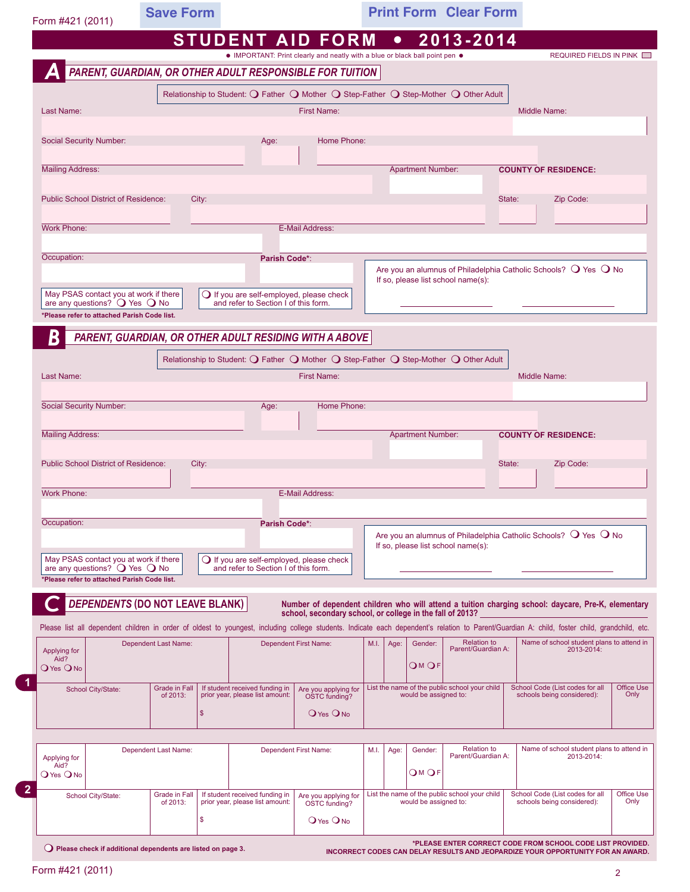| Form #421 (2011)                                                                               |                                 | <b>Save Form</b>                 |                                                                                           |                                                                                                                                                         |              |                          | <b>Print Form Clear Form</b>                  |        |                                                                                                                                                                                               |                           |
|------------------------------------------------------------------------------------------------|---------------------------------|----------------------------------|-------------------------------------------------------------------------------------------|---------------------------------------------------------------------------------------------------------------------------------------------------------|--------------|--------------------------|-----------------------------------------------|--------|-----------------------------------------------------------------------------------------------------------------------------------------------------------------------------------------------|---------------------------|
|                                                                                                |                                 |                                  |                                                                                           | <b>STUDENT AID FORM</b>                                                                                                                                 | $\bullet$    |                          | 2013-2014                                     |        |                                                                                                                                                                                               |                           |
|                                                                                                |                                 |                                  |                                                                                           | • IMPORTANT: Print clearly and neatly with a blue or black ball point pen .<br>PARENT, GUARDIAN, OR OTHER ADULT RESPONSIBLE FOR TUITION                 |              |                          |                                               |        | REQUIRED FIELDS IN PINK                                                                                                                                                                       |                           |
|                                                                                                |                                 |                                  |                                                                                           | Relationship to Student: $\bigcirc$ Father $\bigcirc$ Mother $\bigcirc$ Step-Father $\bigcirc$ Step-Mother $\bigcirc$ Other Adult                       |              |                          |                                               |        |                                                                                                                                                                                               |                           |
| Last Name:                                                                                     |                                 |                                  |                                                                                           | <b>First Name:</b>                                                                                                                                      |              |                          |                                               |        | Middle Name:                                                                                                                                                                                  |                           |
|                                                                                                |                                 |                                  |                                                                                           |                                                                                                                                                         |              |                          |                                               |        |                                                                                                                                                                                               |                           |
| <b>Social Security Number:</b>                                                                 |                                 |                                  | Age:                                                                                      | Home Phone:                                                                                                                                             |              |                          |                                               |        |                                                                                                                                                                                               |                           |
| <b>Mailing Address:</b>                                                                        |                                 |                                  |                                                                                           |                                                                                                                                                         |              | <b>Apartment Number:</b> |                                               |        | <b>COUNTY OF RESIDENCE:</b>                                                                                                                                                                   |                           |
|                                                                                                |                                 |                                  |                                                                                           |                                                                                                                                                         |              |                          |                                               |        |                                                                                                                                                                                               |                           |
| <b>Public School District of Residence:</b>                                                    |                                 | City:                            |                                                                                           |                                                                                                                                                         |              |                          |                                               | State: | Zip Code:                                                                                                                                                                                     |                           |
| <b>Work Phone:</b>                                                                             |                                 |                                  |                                                                                           | <b>E-Mail Address:</b>                                                                                                                                  |              |                          |                                               |        |                                                                                                                                                                                               |                           |
|                                                                                                |                                 |                                  |                                                                                           |                                                                                                                                                         |              |                          |                                               |        |                                                                                                                                                                                               |                           |
| Occupation:                                                                                    |                                 |                                  | Parish Code*:                                                                             |                                                                                                                                                         |              |                          |                                               |        | Are you an alumnus of Philadelphia Catholic Schools? $\bigcirc$ Yes $\bigcirc$ No                                                                                                             |                           |
| May PSAS contact you at work if there                                                          |                                 |                                  |                                                                                           |                                                                                                                                                         |              |                          | If so, please list school name(s):            |        |                                                                                                                                                                                               |                           |
| are any questions? $\bigcirc$ Yes $\bigcirc$ No<br>*Please refer to attached Parish Code list. |                                 |                                  | ○ If you are self-employed, please check<br>and refer to Section I of this form.          |                                                                                                                                                         |              |                          |                                               |        |                                                                                                                                                                                               |                           |
|                                                                                                |                                 |                                  |                                                                                           | PARENT, GUARDIAN, OR OTHER ADULT RESIDING WITH A ABOVE                                                                                                  |              |                          |                                               |        |                                                                                                                                                                                               |                           |
| B                                                                                              |                                 |                                  |                                                                                           |                                                                                                                                                         |              |                          |                                               |        |                                                                                                                                                                                               |                           |
| Last Name:                                                                                     |                                 |                                  |                                                                                           | Relationship to Student: $\bigcirc$ Father $\bigcirc$ Mother $\bigcirc$ Step-Father $\bigcirc$ Step-Mother $\bigcirc$ Other Adult<br><b>First Name:</b> |              |                          |                                               |        | <b>Middle Name:</b>                                                                                                                                                                           |                           |
|                                                                                                |                                 |                                  |                                                                                           |                                                                                                                                                         |              |                          |                                               |        |                                                                                                                                                                                               |                           |
| <b>Social Security Number:</b>                                                                 |                                 |                                  | Age:                                                                                      | Home Phone:                                                                                                                                             |              |                          |                                               |        |                                                                                                                                                                                               |                           |
| <b>Mailing Address:</b>                                                                        |                                 |                                  |                                                                                           |                                                                                                                                                         |              | <b>Apartment Number:</b> |                                               |        | <b>COUNTY OF RESIDENCE:</b>                                                                                                                                                                   |                           |
|                                                                                                |                                 |                                  |                                                                                           |                                                                                                                                                         |              |                          |                                               |        |                                                                                                                                                                                               |                           |
| <b>Public School District of Residence:</b>                                                    |                                 | City:                            |                                                                                           |                                                                                                                                                         |              |                          |                                               | State: | Zip Code:                                                                                                                                                                                     |                           |
| <b>Work Phone:</b>                                                                             |                                 |                                  |                                                                                           | E-Mail Address:                                                                                                                                         |              |                          |                                               |        |                                                                                                                                                                                               |                           |
|                                                                                                |                                 |                                  |                                                                                           |                                                                                                                                                         |              |                          |                                               |        |                                                                                                                                                                                               |                           |
| Occupation:                                                                                    |                                 |                                  | <b>Parish Code*:</b>                                                                      |                                                                                                                                                         |              |                          |                                               |        | Are you an alumnus of Philadelphia Catholic Schools? $\bigcirc$ Yes $\bigcirc$ No                                                                                                             |                           |
|                                                                                                |                                 |                                  |                                                                                           |                                                                                                                                                         |              |                          | If so, please list school name(s):            |        |                                                                                                                                                                                               |                           |
| May PSAS contact you at work if there<br>are any questions? $\bigcirc$ Yes $\bigcirc$ No       |                                 |                                  | $\bigcirc$ If you are self-employed, please check<br>and refer to Section I of this form. |                                                                                                                                                         |              |                          |                                               |        |                                                                                                                                                                                               |                           |
| *Please refer to attached Parish Code list.                                                    |                                 |                                  |                                                                                           |                                                                                                                                                         |              |                          |                                               |        |                                                                                                                                                                                               |                           |
|                                                                                                | DEPENDENTS (DO NOT LEAVE BLANK) |                                  |                                                                                           | school, secondary school, or college in the fall of 2013?                                                                                               |              |                          |                                               |        | Number of dependent children who will attend a tuition charging school: daycare, Pre-K, elementary                                                                                            |                           |
|                                                                                                |                                 |                                  |                                                                                           |                                                                                                                                                         |              |                          |                                               |        | Please list all dependent children in order of oldest to youngest, including college students. Indicate each dependent's relation to Parent/Guardian A: child, foster child, grandchild, etc. |                           |
| Applying for<br>Aid?                                                                           | <b>Dependent Last Name:</b>     |                                  |                                                                                           | Dependent First Name:                                                                                                                                   | M.I.<br>Age: | Gender:                  | <b>Relation to</b><br>Parent/Guardian A:      |        | Name of school student plans to attend in<br>2013-2014:                                                                                                                                       |                           |
| <b>O</b> Yes ONO                                                                               |                                 |                                  |                                                                                           |                                                                                                                                                         |              | <b>OMOF</b>              |                                               |        |                                                                                                                                                                                               |                           |
| School City/State:                                                                             |                                 | <b>Grade in Fall</b><br>of 2013: | If student received funding in<br>prior year, please list amount:                         | Are you applying for<br>OSTC funding?                                                                                                                   |              | would be assigned to:    | List the name of the public school your child |        | School Code (List codes for all<br>schools being considered):                                                                                                                                 | <b>Office Use</b><br>Only |
|                                                                                                |                                 | \$                               |                                                                                           | <b>O</b> Yes ONO                                                                                                                                        |              |                          |                                               |        |                                                                                                                                                                                               |                           |
|                                                                                                |                                 |                                  |                                                                                           |                                                                                                                                                         |              |                          |                                               |        |                                                                                                                                                                                               |                           |
| Applying for                                                                                   | Dependent Last Name:            |                                  |                                                                                           | Dependent First Name:                                                                                                                                   | M.I.<br>Age: | Gender:                  | <b>Relation to</b><br>Parent/Guardian A:      |        | Name of school student plans to attend in<br>2013-2014:                                                                                                                                       |                           |
|                                                                                                |                                 |                                  |                                                                                           |                                                                                                                                                         |              | O™OF                     |                                               |        |                                                                                                                                                                                               |                           |
| Aid?                                                                                           |                                 |                                  |                                                                                           |                                                                                                                                                         |              |                          |                                               |        |                                                                                                                                                                                               |                           |
| <b>O</b> Yes ONO                                                                               |                                 | Grade in Fall                    | If student received funding in                                                            |                                                                                                                                                         |              |                          | List the name of the public school your child |        | School Code (List codes for all                                                                                                                                                               |                           |
| School City/State:                                                                             |                                 | of 2013:<br>\$                   | prior year, please list amount:                                                           | Are you applying for<br>OSTC funding?<br><b>O</b> Yes ONO                                                                                               |              | would be assigned to:    |                                               |        | schools being considered):                                                                                                                                                                    | Office Use<br>Only        |

٦

Form #421 (2011)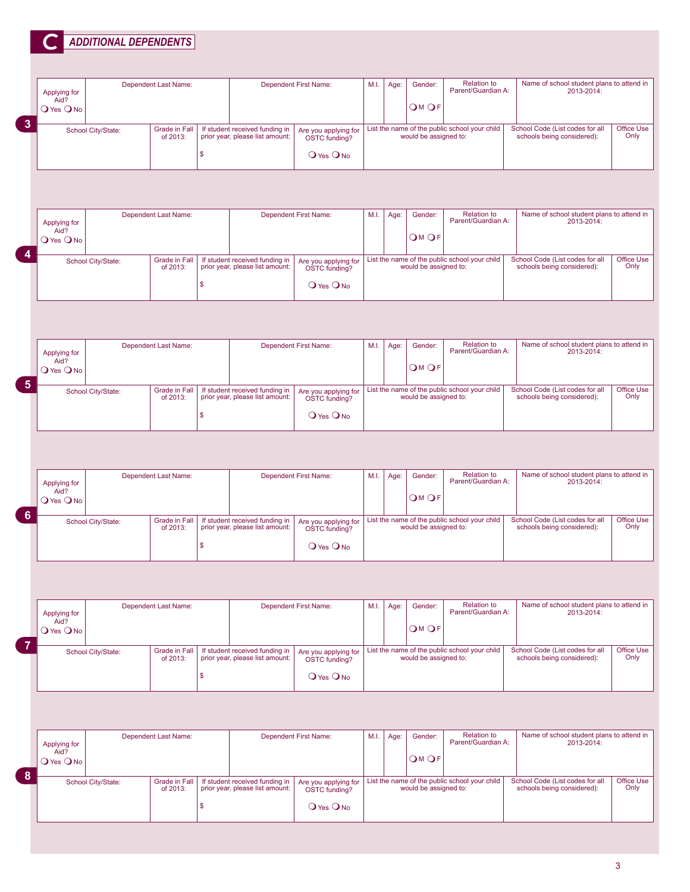|                                          |                    | <b>ADDITIONAL DEPENDENTS</b>     |                         |                                                                   |                                                           |      |      |                       |                                               |                                                               |                           |
|------------------------------------------|--------------------|----------------------------------|-------------------------|-------------------------------------------------------------------|-----------------------------------------------------------|------|------|-----------------------|-----------------------------------------------|---------------------------------------------------------------|---------------------------|
| Applying for<br>Aid?<br><b>O</b> Yes ONO |                    | Dependent Last Name:             |                         |                                                                   | Dependent First Name:                                     | M.I. | Age: | Gender:<br>OMOF       | <b>Relation to</b><br>Parent/Guardian A:      | Name of school student plans to attend in<br>2013-2014:       |                           |
|                                          | School City/State: | <b>Grade in Fall</b><br>of 2013: | \$                      | If student received funding in<br>prior year, please list amount: | Are you applying for<br>OSTC funding?<br><b>O</b> Yes ONO |      |      | would be assigned to: | List the name of the public school your child | School Code (List codes for all<br>schools being considered): | Office Use<br>Only        |
| Applying for<br>Aid?<br><b>O</b> Yes ONO |                    | Dependent Last Name:             |                         |                                                                   | <b>Dependent First Name:</b>                              | M.I. | Age: | Gender:<br>OMOF       | <b>Relation to</b><br>Parent/Guardian A:      | Name of school student plans to attend in<br>2013-2014:       |                           |
|                                          | School City/State: | <b>Grade in Fall</b><br>of 2013: | \$                      | If student received funding in<br>prior year, please list amount: | Are you applying for<br>OSTC funding?<br>OYes ONO         |      |      | would be assigned to: | List the name of the public school your child | School Code (List codes for all<br>schools being considered): | Office Use<br>Only        |
|                                          |                    |                                  |                         |                                                                   |                                                           |      |      |                       |                                               |                                                               |                           |
| Applying for<br>Aid?<br>O Yes O No       |                    | Dependent Last Name:             |                         |                                                                   | <b>Dependent First Name:</b>                              | M.I. | Age: | Gender:<br>OMOF       | <b>Relation to</b><br>Parent/Guardian A:      | Name of school student plans to attend in<br>2013-2014:       |                           |
|                                          | School City/State: | <b>Grade in Fall</b><br>of 2013: |                         | If student received funding in<br>prior year, please list amount: | Are you applying for<br>OSTC funding?                     |      |      | would be assigned to: | List the name of the public school your child | School Code (List codes for all<br>schools being considered): | Office Use<br>Only        |
|                                          |                    |                                  | $\mathsf{\$}$           |                                                                   | <b>O</b> Yes <b>O</b> No                                  |      |      |                       |                                               |                                                               |                           |
|                                          |                    |                                  |                         |                                                                   |                                                           |      |      |                       |                                               |                                                               |                           |
| Applying for<br>Aid?<br>O Yes O No       |                    | Dependent Last Name:             |                         |                                                                   | Dependent First Name:                                     | M.I. | Age: | Gender:<br>OMOF       | <b>Relation to</b><br>Parent/Guardian A:      | Name of school student plans to attend in<br>2013-2014:       |                           |
|                                          | School City/State: | <b>Grade in Fall</b><br>of 2013: | $\sqrt[6]{\frac{1}{2}}$ | If student received funding in<br>prior year, please list amount: | Are you applying for<br>OSTC funding?<br>O Yes O No       |      |      | would be assigned to: | List the name of the public school your child | School Code (List codes for all<br>schools being considered): |                           |
|                                          |                    |                                  |                         |                                                                   |                                                           |      |      |                       |                                               |                                                               | <b>Office Use</b><br>Only |
| Applying for<br>Aid?<br><b>O</b> Yes ONO |                    | Dependent Last Name:             |                         |                                                                   | <b>Dependent First Name:</b>                              | M.I. | Age: | Gender:<br>OMOF       | <b>Relation to</b><br>Parent/Guardian A:      | Name of school student plans to attend in<br>2013-2014:       |                           |
|                                          | School City/State: | <b>Grade in Fall</b><br>of 2013: | \$                      | If student received funding in<br>prior year, please list amount: | Are you applying for<br>OSTC funding?<br><b>O</b> Yes ONO |      |      | would be assigned to: | List the name of the public school your child | School Code (List codes for all<br>schools being considered): |                           |
|                                          |                    |                                  |                         |                                                                   |                                                           |      |      |                       |                                               |                                                               |                           |
| Applying for<br>Aid?<br><b>O</b> Yes ONO |                    | Dependent Last Name:             |                         |                                                                   | <b>Dependent First Name:</b>                              | M.I. | Age: | Gender:<br>OMOF       | <b>Relation to</b><br>Parent/Guardian A:      | Name of school student plans to attend in<br>2013-2014:       | Office Use<br>Only        |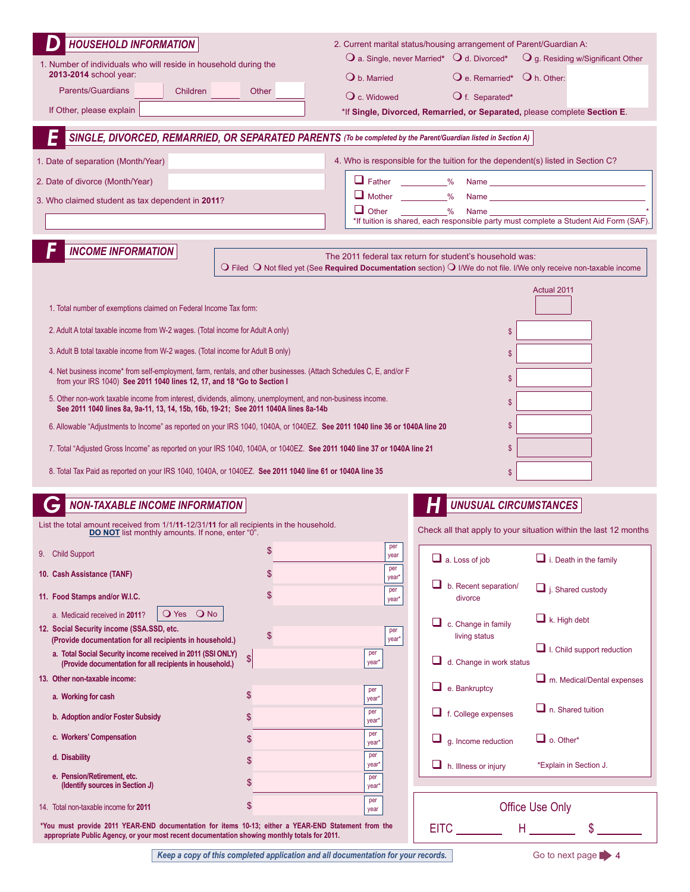| <b>HOUSEHOLD INFORMATION</b><br>1. Number of individuals who will reside in household during the<br>2013-2014 school year:<br><b>Parents/Guardians</b><br>Children<br>If Other, please explain<br>1. Date of separation (Month/Year)<br>2. Date of divorce (Month/Year)<br>3. Who claimed student as tax dependent in 2011?                                                                                                                                                                                                                                                                                                         | $\mathbf 0$ b. Married<br>Other<br>O c. Widowed<br>SINGLE, DIVORCED, REMARRIED, OR SEPARATED PARENTS (To be completed by the Parent/Guardian listed in Section A)<br>$\Box$ Father %<br>Mother __________%<br>$\Box$ Other                                                                                                                                                    | 2. Current marital status/housing arrangement of Parent/Guardian A:<br>$\mathbf O$ a. Single, never Married* $\mathbf O$ d. Divorced*<br>O g. Residing w/Significant Other<br>O e. Remarried* O h. Other:<br>O f. Separated*<br>*If Single, Divorced, Remarried, or Separated, please complete Section E.<br>4. Who is responsible for the tuition for the dependent(s) listed in Section C?<br>$\frac{1}{2}$<br>Name<br>*If tuition is shared, each responsible party must complete a Student Aid Form (SAF). |
|-------------------------------------------------------------------------------------------------------------------------------------------------------------------------------------------------------------------------------------------------------------------------------------------------------------------------------------------------------------------------------------------------------------------------------------------------------------------------------------------------------------------------------------------------------------------------------------------------------------------------------------|-------------------------------------------------------------------------------------------------------------------------------------------------------------------------------------------------------------------------------------------------------------------------------------------------------------------------------------------------------------------------------|----------------------------------------------------------------------------------------------------------------------------------------------------------------------------------------------------------------------------------------------------------------------------------------------------------------------------------------------------------------------------------------------------------------------------------------------------------------------------------------------------------------|
| <b>INCOME INFORMATION</b>                                                                                                                                                                                                                                                                                                                                                                                                                                                                                                                                                                                                           |                                                                                                                                                                                                                                                                                                                                                                               | The 2011 federal tax return for student's household was:<br>$\bigcirc$ Filed $\bigcirc$ Not filed yet (See Required Documentation section) $\bigcirc$ I/We do not file. I/We only receive non-taxable income                                                                                                                                                                                                                                                                                                   |
| 1. Total number of exemptions claimed on Federal Income Tax form:<br>2. Adult A total taxable income from W-2 wages. (Total income for Adult A only)<br>3. Adult B total taxable income from W-2 wages. (Total income for Adult B only)<br>from your IRS 1040) See 2011 1040 lines 12, 17, and 18 *Go to Section I<br>5. Other non-work taxable income from interest, dividends, alimony, unemployment, and non-business income.<br>See 2011 1040 lines 8a, 9a-11, 13, 14, 15b, 16b, 19-21; See 2011 1040A lines 8a-14b<br>8. Total Tax Paid as reported on your IRS 1040, 1040A, or 1040EZ. See 2011 1040 line 61 or 1040A line 35 | 4. Net business income* from self-employment, farm, rentals, and other businesses. (Attach Schedules C, E, and/or F<br>6. Allowable "Adjustments to Income" as reported on your IRS 1040, 1040A, or 1040EZ. See 2011 1040 line 36 or 1040A line 20<br>7. Total "Adjusted Gross Income" as reported on your IRS 1040, 1040A, or 1040EZ. See 2011 1040 line 37 or 1040A line 21 | Actual 2011<br>\$<br>\$<br>\$<br>\$<br>\$<br>\$<br>\$                                                                                                                                                                                                                                                                                                                                                                                                                                                          |
| <b>NON-TAXABLE INCOME INFORMATION</b>                                                                                                                                                                                                                                                                                                                                                                                                                                                                                                                                                                                               |                                                                                                                                                                                                                                                                                                                                                                               | <b>UNUSUAL CIRCUMSTANCES</b>                                                                                                                                                                                                                                                                                                                                                                                                                                                                                   |
| List the total amount received from 1/1/11-12/31/11 for all recipients in the household.<br>DO NOT list monthly amounts. If none, enter "0".                                                                                                                                                                                                                                                                                                                                                                                                                                                                                        |                                                                                                                                                                                                                                                                                                                                                                               | Check all that apply to your situation within the last 12 months                                                                                                                                                                                                                                                                                                                                                                                                                                               |
| 9. Child Support<br>10. Cash Assistance (TANF)                                                                                                                                                                                                                                                                                                                                                                                                                                                                                                                                                                                      | per<br>\$<br>year<br>per<br>\$                                                                                                                                                                                                                                                                                                                                                | $\Box$ i. Death in the family<br>$\Box$ a. Loss of job                                                                                                                                                                                                                                                                                                                                                                                                                                                         |
| 11. Food Stamps and/or W.I.C.                                                                                                                                                                                                                                                                                                                                                                                                                                                                                                                                                                                                       | year'<br>per<br>\$<br>year*                                                                                                                                                                                                                                                                                                                                                   | ⊔.<br>b. Recent separation/<br>$\Box$ j. Shared custody<br>divorce                                                                                                                                                                                                                                                                                                                                                                                                                                             |
| O Yes O No<br>a. Medicaid received in 2011?<br>12. Social Security income (SSA.SSD, etc.<br>(Provide documentation for all recipients in household.)<br>a. Total Social Security income received in 2011 (SSI ONLY)<br>(Provide documentation for all recipients in household.)                                                                                                                                                                                                                                                                                                                                                     | per<br>\$<br>year*<br>per<br>$\left  \mathsf{S} \right $<br>year <sup>*</sup>                                                                                                                                                                                                                                                                                                 | $\Box$ k. High debt<br>$\Box$ c. Change in family<br>living status<br>$\Box$ I. Child support reduction<br>u<br>d. Change in work status                                                                                                                                                                                                                                                                                                                                                                       |
| 13. Other non-taxable income:                                                                                                                                                                                                                                                                                                                                                                                                                                                                                                                                                                                                       | per                                                                                                                                                                                                                                                                                                                                                                           | $\Box$ m. Medical/Dental expenses<br>u<br>e. Bankruptcy                                                                                                                                                                                                                                                                                                                                                                                                                                                        |
| a. Working for cash                                                                                                                                                                                                                                                                                                                                                                                                                                                                                                                                                                                                                 | \$<br>year <sup>*</sup><br>per                                                                                                                                                                                                                                                                                                                                                | $\Box$ n. Shared tuition<br>$\Box$ f. College expenses                                                                                                                                                                                                                                                                                                                                                                                                                                                         |
| b. Adoption and/or Foster Subsidy<br>c. Workers' Compensation                                                                                                                                                                                                                                                                                                                                                                                                                                                                                                                                                                       | \$<br>year<br>per<br>\$                                                                                                                                                                                                                                                                                                                                                       | $\Box$ o. Other*                                                                                                                                                                                                                                                                                                                                                                                                                                                                                               |
| d. Disability                                                                                                                                                                                                                                                                                                                                                                                                                                                                                                                                                                                                                       | year<br>per<br>\$                                                                                                                                                                                                                                                                                                                                                             | g. Income reduction                                                                                                                                                                                                                                                                                                                                                                                                                                                                                            |
| e. Pension/Retirement, etc.<br>(Identify sources in Section J)                                                                                                                                                                                                                                                                                                                                                                                                                                                                                                                                                                      | year'<br>per<br>\$<br>year <sup>3</sup>                                                                                                                                                                                                                                                                                                                                       | *Explain in Section J.<br>$\Box$ h. Illness or injury                                                                                                                                                                                                                                                                                                                                                                                                                                                          |
| 14. Total non-taxable income for 2011                                                                                                                                                                                                                                                                                                                                                                                                                                                                                                                                                                                               | per<br>\$<br>year                                                                                                                                                                                                                                                                                                                                                             | Office Use Only                                                                                                                                                                                                                                                                                                                                                                                                                                                                                                |
| *You must provide 2011 YEAR-END documentation for items 10-13; either a YEAR-END Statement from the<br>appropriate Public Agency, or your most recent documentation showing monthly totals for 2011.                                                                                                                                                                                                                                                                                                                                                                                                                                |                                                                                                                                                                                                                                                                                                                                                                               |                                                                                                                                                                                                                                                                                                                                                                                                                                                                                                                |

*Keep a copy of this completed application and all documentation for your records.* 

Go to next page 4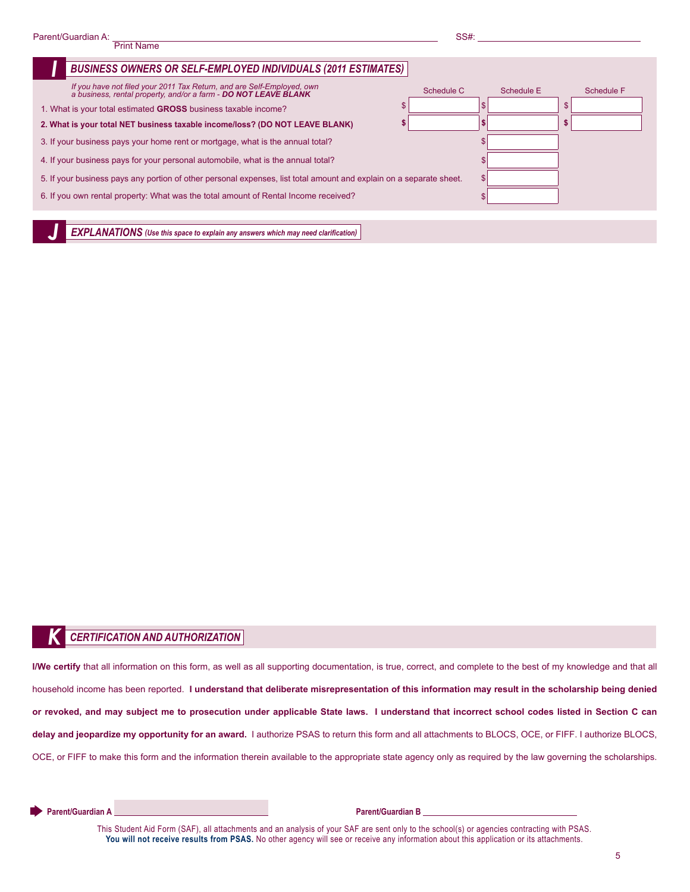| <b>BUSINESS OWNERS OR SELF-EMPLOYED INDIVIDUALS (2011 ESTIMATES)</b>                                                                   |            |            |            |
|----------------------------------------------------------------------------------------------------------------------------------------|------------|------------|------------|
| If you have not filed your 2011 Tax Return, and are Self-Employed, own a business, rental property, and/or a farm - DO NOT LEAVE BLANK | Schedule C | Schedule E | Schedule F |
| 1. What is your total estimated GROSS business taxable income?                                                                         |            |            | \$         |
| 2. What is your total NET business taxable income/loss? (DO NOT LEAVE BLANK)                                                           |            |            | \$         |
| 3. If your business pays your home rent or mortgage, what is the annual total?                                                         |            |            |            |
| 4. If your business pays for your personal automobile, what is the annual total?                                                       |            |            |            |
| 5. If your business pays any portion of other personal expenses, list total amount and explain on a separate sheet.                    |            |            |            |
| 6. If you own rental property: What was the total amount of Rental Income received?                                                    |            |            |            |
|                                                                                                                                        |            |            |            |

*EXPLANATIONS* (Use this space to explain any answers which may need clarification)

#### *K CERTIfICATION AND AUTHORIzATION*

**I/We certify** that all information on this form, as well as all supporting documentation, is true, correct, and complete to the best of my knowledge and that all household income has been reported. **I understand that deliberate misrepresentation of this information may result in the scholarship being denied or revoked, and may subject me to prosecution under applicable State laws. I understand that incorrect school codes listed in Section C can delay and jeopardize my opportunity for an award.** I authorize PSAS to return this form and all attachments to BLOCS, OCE, or FIFF. I authorize BLOCS, OCE, or FIFF to make this form and the information therein available to the appropriate state agency only as required by the law governing the scholarships.

**Parent/Guardian A** Date **Parent/Guardian B** Date **Parent/Guardian B** 

This Student Aid Form (SAF), all attachments and an analysis of your SAF are sent only to the school(s) or agencies contracting with PSAS. You will not receive results from PSAS. No other agency will see or receive any information about this application or its attachments.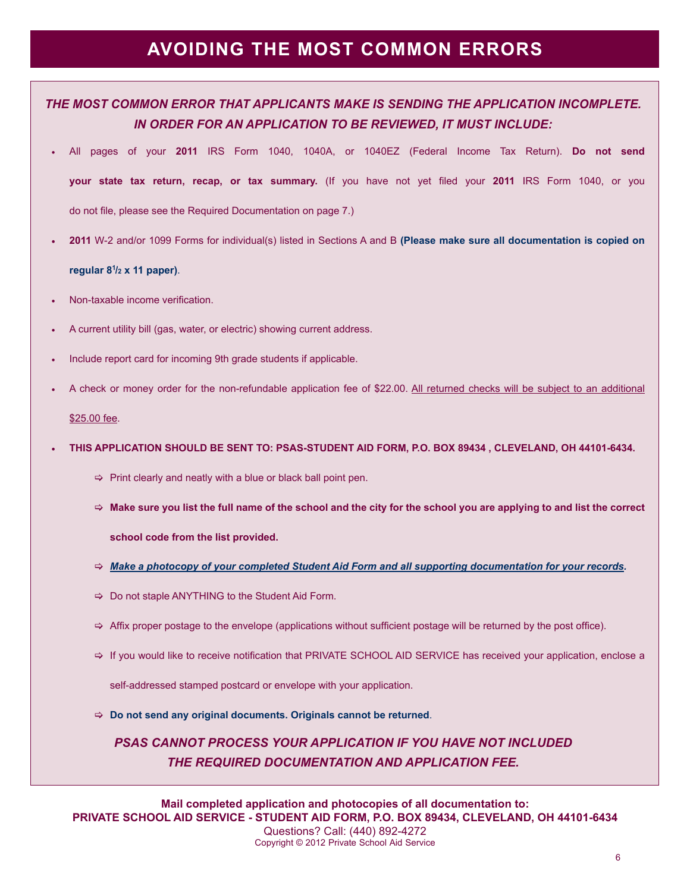## **AVOIDINg THE mOST COmmON ERRORS**

## *THE MOST COMMON ERROR THAT APPLICANTS MAKE IS SENDING THE APPLICATION INCOMPLETE. IN ORDER FOR AN APPLICATION TO BE REVIEWED, IT MUST INCLUDE:*

- t All pages of your **2011** IRS Form 1040, 1040A, or 1040EZ (Federal Income Tax Return). **Do not send your state tax return, recap, or tax summary.** (If you have not yet filed your 2011 IRS Form 1040, or you do not file, please see the Required Documentation on page 7.)
- **t 2011** W-2 and/or 1099 Forms for individual(s) listed in Sections A and B **(Please make sure all documentation is copied on**

#### **regular 81 /2 x 11 paper)**.

- Non-taxable income verification.
- A current utility bill (gas, water, or electric) showing current address.
- Include report card for incoming 9th grade students if applicable.
- A check or money order for the non-refundable application fee of \$22.00. All returned checks will be subject to an additional

#### \$25.00 fee.

#### **t THIS APPLICATION SHOuLD BE SENT TO: PSAS-STuDENT AID FORm, P.O. BOX 89434 , CLEVELAND, OH 44101-6434.**

- $\Rightarrow$  Print clearly and neatly with a blue or black ball point pen.
- > **make sure you list the full name of the school and the city for the school you are applying to and list the correct**

 **school code from the list provided.**

- > *Make a photocopy of your completed Student Aid Form and all supporting documentation for your records.*
- $\Rightarrow$  Do not staple ANYTHING to the Student Aid Form.
- $\Rightarrow$  Affix proper postage to the envelope (applications without sufficient postage will be returned by the post office).
- $\Rightarrow$  If you would like to receive notification that PRIVATE SCHOOL AID SERVICE has received your application, enclose a

self-addressed stamped postcard or envelope with your application.

> **Do not send any original documents. Originals cannot be returned**.

*PSAS CANNOT PROCESS YOUR APPLICATION IF YOU HAVE NOT INCLUDED THE REQUIRED DOCUMENTATION AND APPLICATION FEE.*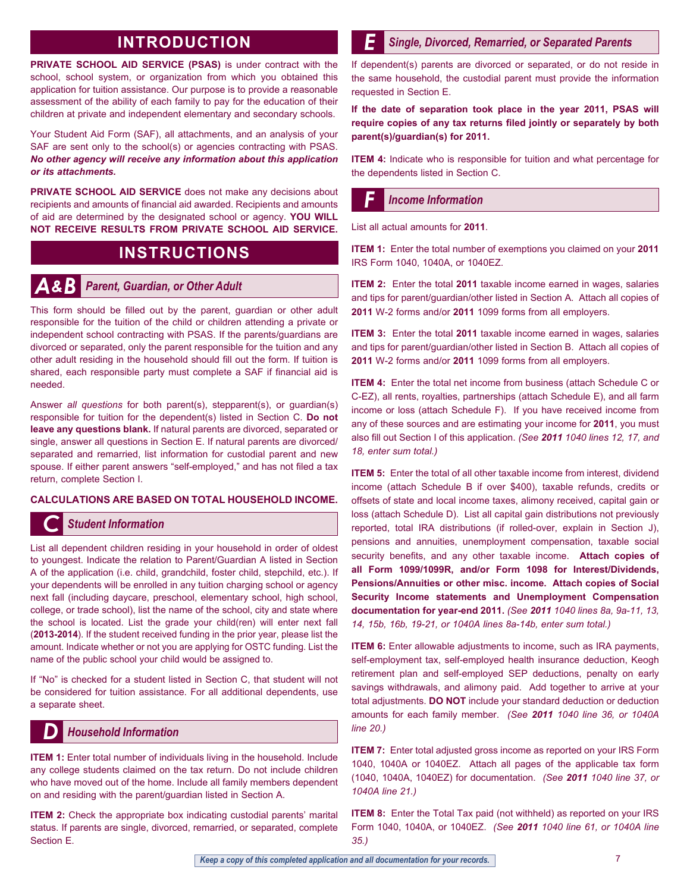## **INTRODuCTION**

**PRIVATE SCHOOL AID SERVICE (PSAS)** is under contract with the school, school system, or organization from which you obtained this application for tuition assistance. Our purpose is to provide a reasonable assessment of the ability of each family to pay for the education of their children at private and independent elementary and secondary schools.

Your Student Aid Form (SAF), all attachments, and an analysis of your SAF are sent only to the school(s) or agencies contracting with PSAS. *No other agency will receive any information about this application or its attachments.*

**PRIVATE SCHOOL AID SERVICE** does not make any decisions about recipients and amounts of financial aid awarded. Recipients and amounts of aid are determined by the designated school or agency. **YOu WILL NOT RECEIVE RESuLTS FROm PRIVATE SCHOOL AID SERVICE.**

### **INSTRuCTIONS**

### *A&B Parent, Guardian, or Other Adult*

This form should be filled out by the parent, guardian or other adult responsible for the tuition of the child or children attending a private or independent school contracting with PSAS. If the parents/guardians are divorced or separated, only the parent responsible for the tuition and any other adult residing in the household should fill out the form. If tuition is shared, each responsible party must complete a SAF if financial aid is needed.

Answer *all questions* for both parent(s), stepparent(s), or guardian(s) responsible for tuition for the dependent(s) listed in Section C. **Do not leave any questions blank.** If natural parents are divorced, separated or single, answer all questions in Section E. If natural parents are divorced/ separated and remarried, list information for custodial parent and new spouse. If either parent answers "self-employed," and has not filed a tax return, complete Section I.

#### **CALCuLATIONS ARE BASED ON TOTAL HOuSEHOLD INCOmE.**

#### *C Student Information*

List all dependent children residing in your household in order of oldest to youngest. Indicate the relation to Parent/Guardian A listed in Section A of the application (i.e. child, grandchild, foster child, stepchild, etc.). If your dependents will be enrolled in any tuition charging school or agency next fall (including daycare, preschool, elementary school, high school, college, or trade school), list the name of the school, city and state where the school is located. List the grade your child(ren) will enter next fall (**2013-2014**). If the student received funding in the prior year, please list the amount. Indicate whether or not you are applying for OSTC funding. List the name of the public school your child would be assigned to.

If "No" is checked for a student listed in Section C, that student will not be considered for tuition assistance. For all additional dependents, use a separate sheet.

#### *D Household Information*

**ITEM 1:** Enter total number of individuals living in the household. Include any college students claimed on the tax return. Do not include children who have moved out of the home. Include all family members dependent on and residing with the parent/guardian listed in Section A.

**ITEM 2:** Check the appropriate box indicating custodial parents' marital status. If parents are single, divorced, remarried, or separated, complete Section E.

#### *E Single, Divorced, Remarried, or Separated Parents*

If dependent(s) parents are divorced or separated, or do not reside in the same household, the custodial parent must provide the information requested in Section E.

**If the date of separation took place in the year 2011, PSAS will require copies of any tax returns filed jointly or separately by both parent(s)/guardian(s) for 2011.** 

**ITEM 4:** Indicate who is responsible for tuition and what percentage for the dependents listed in Section C.

#### *F Income Information*

List all actual amounts for **2011**.

**ITEm 1:** Enter the total number of exemptions you claimed on your **2011** IRS Form 1040, 1040A, or 1040EZ.

**ITEM 2:** Enter the total 2011 taxable income earned in wages, salaries and tips for parent/guardian/other listed in Section A. Attach all copies of **2011** W-2 forms and/or **2011** 1099 forms from all employers.

**ITEM 3:** Enter the total 2011 taxable income earned in wages, salaries and tips for parent/guardian/other listed in Section B. Attach all copies of **2011** W-2 forms and/or **2011** 1099 forms from all employers.

**ITEM 4:** Enter the total net income from business (attach Schedule C or C-EZ), all rents, royalties, partnerships (attach Schedule E), and all farm income or loss (attach Schedule F). If you have received income from any of these sources and are estimating your income for **2011**, you must also fill out Section I of this application. *(See 2011 1040 lines 12, 17, and* 18, enter sum total.)

**ITEM 5:** Enter the total of all other taxable income from interest, dividend income (attach Schedule B if over \$400), taxable refunds, credits or offsets of state and local income taxes, alimony received, capital gain or loss (attach Schedule D). List all capital gain distributions not previously reported, total IRA distributions (if rolled-over, explain in Section J), pensions and annuities, unemployment compensation, taxable social security benefits, and any other taxable income. **Attach copies of all Form 1099/1099R, and/or Form 1098 for Interest/Dividends, Pensions/Annuities or other misc. income. Attach copies of Social Security Income statements and unemployment Compensation documentation for year-end 2011.** (See 2011 1040 lines 8a, 9a-11, 13, 14, 15b, 16b, 19-21, or 1040A lines 8a-14b, enter sum total.)

**ITEM 6:** Enter allowable adjustments to income, such as IRA payments, self-employment tax, self-employed health insurance deduction, Keogh retirement plan and self-employed SEP deductions, penalty on early savings withdrawals, and alimony paid. Add together to arrive at your total adjustments. **DO NOT** include your standard deduction or deduction amounts for each family member. *(See 2011 1040 line 36, or 1040A line* 20.)

**ITEM 7:** Enter total adjusted gross income as reported on your IRS Form 1040, 1040A or 1040EZ. Attach all pages of the applicable tax form (1040, 1040A, 1040EZ) for documentation. *(See 2011 1040 line 37, or* 1040A line 21.)

**ITEM 8:** Enter the Total Tax paid (not withheld) as reported on your IRS Form 1040, 1040A, or 1040EZ. *(See 2011 1040 line 61, or 1040A line* 35.)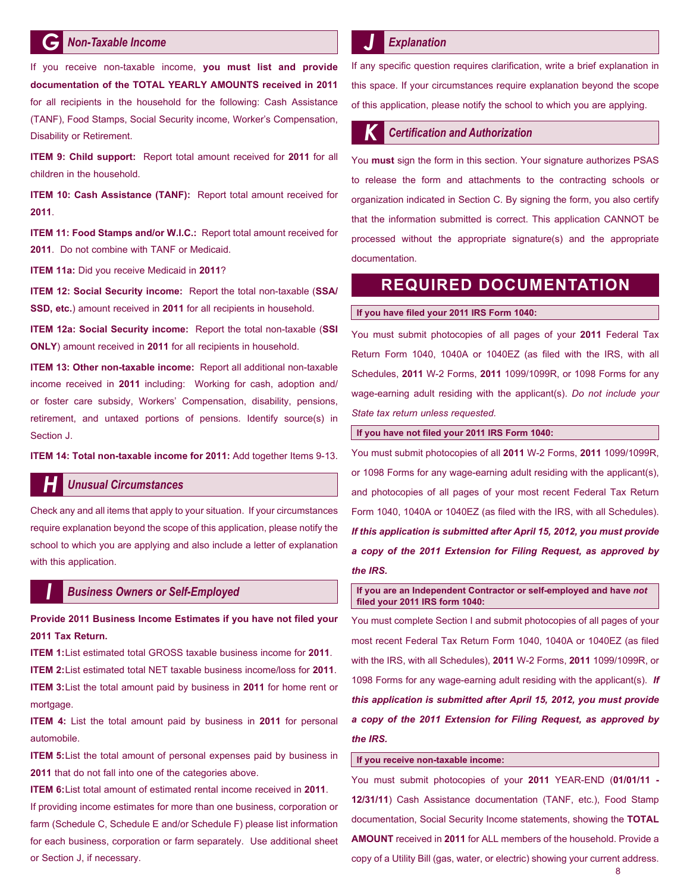#### *G Non-Taxable Income*

If you receive non-taxable income, **you must list and provide documentation of the TOTAL YEARLY AmOuNTS received in 2011** for all recipients in the household for the following: Cash Assistance (TANF), Food Stamps, Social Security income, Worker's Compensation, Disability or Retirement.

**ITEm 9: Child support:** Report total amount received for **2011** for all children in the household.

**ITEM 10: Cash Assistance (TANF):** Report total amount received for **2011**.

**ITEM 11: Food Stamps and/or W.I.C.:** Report total amount received for **2011**. Do not combine with TANF or Medicaid.

**ITEm 11a:** Did you receive Medicaid in **2011**?

**ITEm 12: Social Security income:** Report the total non-taxable (**SSA/ SSD, etc.**) amount received in **2011** for all recipients in household.

**ITEm 12a: Social Security income:** Report the total non-taxable (**SSI ONLY**) amount received in **2011** for all recipients in household.

**ITEm 13: Other non-taxable income:** Report all additional non-taxable income received in **2011** including: Working for cash, adoption and/ or foster care subsidy, Workers' Compensation, disability, pensions, retirement, and untaxed portions of pensions. Identify source(s) in Section J.

**ITEm 14: Total non-taxable income for 2011:** Add together Items 9-13.

#### *H Unusual Circumstances*

Check any and all items that apply to your situation. If your circumstances require explanation beyond the scope of this application, please notify the school to which you are applying and also include a letter of explanation with this application.

#### *business Owners or Self-Employed I*

**Provide 2011 Business Income Estimates if you have not filed your 2011 Tax Return.**

**ITEm 1:**List estimated total GROSS taxable business income for **2011**. **ITEm 2:**List estimated total NET taxable business income/loss for **2011**. **ITEm 3:**List the total amount paid by business in **2011** for home rent or mortgage.

**ITEm 4:** List the total amount paid by business in **2011** for personal automobile.

**ITEM 5:** List the total amount of personal expenses paid by business in **2011** that do not fall into one of the categories above.

**ITEm 6:**List total amount of estimated rental income received in **2011**.

If providing income estimates for more than one business, corporation or farm (Schedule C, Schedule E and/or Schedule F) please list information for each business, corporation or farm separately. Use additional sheet or Section J, if necessary.

#### *Explanation*

If any specific question requires clarification, write a brief explanation in this space. If your circumstances require explanation beyond the scope of this application, please notify the school to which you are applying.

#### **Certification and Authorization**

You **must** sign the form in this section. Your signature authorizes PSAS to release the form and attachments to the contracting schools or organization indicated in Section C. By signing the form, you also certify that the information submitted is correct. This application CANNOT be processed without the appropriate signature(s) and the appropriate documentation.

### **REQuIRED DOCumENTATION**

#### If you have filed your 2011 IRS Form 1040:

You must submit photocopies of all pages of your **2011** Federal Tax Return Form 1040, 1040A or 1040EZ (as filed with the IRS, with all Schedules, **2011** W-2 Forms, **2011** 1099/1099R, or 1098 Forms for any wage-earning adult residing with the applicant(s). *Do not include your* State tax return unless requested.

#### If you have not filed your 2011 IRS Form 1040:

You must submit photocopies of all **2011** W-2 Forms, **2011** 1099/1099R, or 1098 Forms for any wage-earning adult residing with the applicant(s), and photocopies of all pages of your most recent Federal Tax Return Form 1040, 1040A or 1040EZ (as filed with the IRS, with all Schedules). *If this application is submitted after April 15, 2012, you must provide a copy of the 2011 Extension for Filing Request, as approved by the IRS.* 

**If you are an Independent Contractor or self-employed and have** *not* filed your 2011 IRS form 1040:

You must complete Section I and submit photocopies of all pages of your most recent Federal Tax Return Form 1040, 1040A or 1040EZ (as filed with the IRS, with all Schedules), **2011** W-2 Forms, **2011** 1099/1099R, or 1098 Forms for any wage-earning adult residing with the applicant(s). *If this application is submitted after April 15, 2012, you must provide a copy of the 2011 Extension for Filing Request, as approved by the IRS.*

#### **If you receive non-taxable income:**

You must submit photocopies of your **2011** YEAR-END (**01/01/11 - 12/31/11**) Cash Assistance documentation (TANF, etc.), Food Stamp documentation, Social Security Income statements, showing the **TOTAL AmOuNT** received in **2011** for ALL members of the household. Provide a copy of a Utility Bill (gas, water, or electric) showing your current address.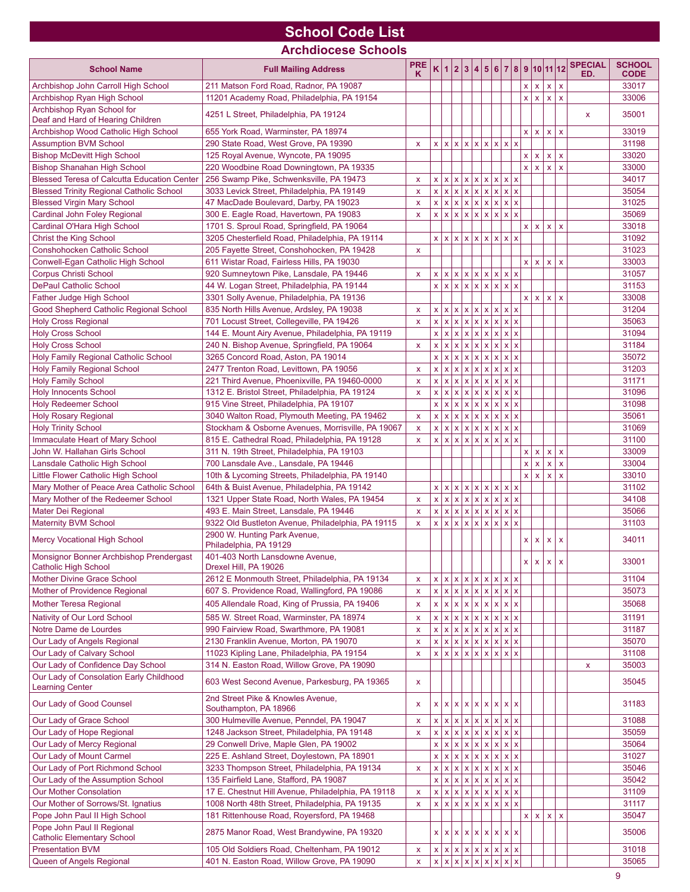## **School Code List**

**Archdiocese Schools**

| <b>School Name</b>                                                                       | <b>Full Mailing Address</b>                                                              | <b>PRE</b><br>Κ    |              | K 1 2 3 4 5 6 7 8 9 10 11 12                  |  |                   |                                 |                   |                         |              |                             |                                    |                              | <b>SPECIAL</b><br>ED. | <b>SCHOOL</b><br><b>CODE</b> |
|------------------------------------------------------------------------------------------|------------------------------------------------------------------------------------------|--------------------|--------------|-----------------------------------------------|--|-------------------|---------------------------------|-------------------|-------------------------|--------------|-----------------------------|------------------------------------|------------------------------|-----------------------|------------------------------|
| Archbishop John Carroll High School                                                      | 211 Matson Ford Road, Radnor, PA 19087                                                   |                    |              |                                               |  |                   |                                 |                   |                         |              | $x \mid x$                  | $\mathsf X$                        | $\mathsf X$                  |                       | 33017                        |
| Archbishop Ryan High School                                                              | 11201 Academy Road, Philadelphia, PA 19154                                               |                    |              |                                               |  |                   |                                 |                   |                         | $\mathsf{x}$ | $\mathbf{x}$                | $\mathsf X$                        | $\mathbf{x}$                 |                       | 33006                        |
| Archbishop Ryan School for                                                               |                                                                                          |                    |              |                                               |  |                   |                                 |                   |                         |              |                             |                                    |                              |                       |                              |
| Deaf and Hard of Hearing Children                                                        | 4251 L Street, Philadelphia, PA 19124                                                    |                    |              |                                               |  |                   |                                 |                   |                         |              |                             |                                    |                              | X                     | 35001                        |
| Archbishop Wood Catholic High School                                                     | 655 York Road, Warminster, PA 18974                                                      |                    |              |                                               |  |                   |                                 |                   |                         | x            | $\mathbf{x}$                | $\mathbf{x}$                       | $\mathbf{x}$                 |                       | 33019                        |
| <b>Assumption BVM School</b>                                                             | 290 State Road, West Grove, PA 19390                                                     | X                  |              | x  x  x  x  x  x  x  x  x                     |  |                   |                                 |                   |                         |              |                             |                                    |                              |                       | 31198                        |
| <b>Bishop McDevitt High School</b>                                                       | 125 Royal Avenue, Wyncote, PA 19095                                                      |                    |              |                                               |  |                   |                                 |                   |                         | $\mathsf{x}$ | $\pmb{\mathsf{X}}$<br>x   x | $\pmb{\mathsf{X}}$<br>$\mathbf{x}$ | $\mathsf{x}$<br>$\mathbf{x}$ |                       | 33020<br>33000               |
| <b>Bishop Shanahan High School</b><br><b>Blessed Teresa of Calcutta Education Center</b> | 220 Woodbine Road Downingtown, PA 19335<br>256 Swamp Pike, Schwenksville, PA 19473       | x                  |              | x  x  x  x  x  x  x  x  x                     |  |                   |                                 |                   |                         |              |                             |                                    |                              |                       | 34017                        |
| <b>Blessed Trinity Regional Catholic School</b>                                          | 3033 Levick Street, Philadelphia, PA 19149                                               | $\mathsf{x}$       |              | x  x  x  x  x  x  x  x  x                     |  |                   |                                 |                   |                         |              |                             |                                    |                              |                       | 35054                        |
| <b>Blessed Virgin Mary School</b>                                                        | 47 MacDade Boulevard, Darby, PA 19023                                                    | x                  |              | x  x  x  x  x  x  x  x  x                     |  |                   |                                 |                   |                         |              |                             |                                    |                              |                       | 31025                        |
| Cardinal John Foley Regional                                                             | 300 E. Eagle Road, Havertown, PA 19083                                                   | $\mathsf{x}$       |              | x  x  x  x  x  x  x  x  x                     |  |                   |                                 |                   |                         |              |                             |                                    |                              |                       | 35069                        |
| Cardinal O'Hara High School                                                              | 1701 S. Sproul Road, Springfield, PA 19064                                               |                    |              |                                               |  |                   |                                 |                   |                         |              |                             | $x \mid x \mid x$                  | $\mathbf{x}$                 |                       | 33018                        |
| Christ the King School                                                                   | 3205 Chesterfield Road, Philadelphia, PA 19114                                           |                    |              | x  x  x  x  x  x  x  x  x                     |  |                   |                                 |                   |                         |              |                             |                                    |                              |                       | 31092                        |
| Conshohocken Catholic School                                                             | 205 Fayette Street, Conshohocken, PA 19428                                               | $\mathsf{x}$       |              |                                               |  |                   |                                 |                   |                         |              |                             |                                    |                              |                       | 31023                        |
| Conwell-Egan Catholic High School                                                        | 611 Wistar Road, Fairless Hills, PA 19030                                                |                    |              |                                               |  |                   |                                 |                   |                         |              | x   x                       | l x.                               | $\mathbf{x}$                 |                       | 33003                        |
| <b>Corpus Christi School</b>                                                             | 920 Sumneytown Pike, Lansdale, PA 19446                                                  | X                  |              | x  x  x  x  x  x  x  x  x                     |  |                   |                                 |                   |                         |              |                             |                                    |                              |                       | 31057                        |
| <b>DePaul Catholic School</b><br>Father Judge High School                                | 44 W. Logan Street, Philadelphia, PA 19144<br>3301 Solly Avenue, Philadelphia, PA 19136  |                    |              | x  x  x  x  x  x  x  x  x                     |  |                   |                                 |                   |                         |              | x   x                       | $\mathbf{x}$                       | $\boldsymbol{\mathsf{x}}$    |                       | 31153<br>33008               |
| Good Shepherd Catholic Regional School                                                   | 835 North Hills Avenue, Ardsley, PA 19038                                                | $\mathsf{x}$       | $\mathsf X$  | x x x x x x x x x                             |  |                   |                                 |                   |                         |              |                             |                                    |                              |                       | 31204                        |
| <b>Holy Cross Regional</b>                                                               | 701 Locust Street, Collegeville, PA 19426                                                | X                  | $\mathsf{x}$ | x x x x x x x x x                             |  |                   |                                 |                   |                         |              |                             |                                    |                              |                       | 35063                        |
| <b>Holy Cross School</b>                                                                 | 144 E. Mount Airy Avenue, Philadelphia, PA 19119                                         |                    | x            | x x x   x   x   x   x   x                     |  |                   |                                 |                   |                         |              |                             |                                    |                              |                       | 31094                        |
| <b>Holy Cross School</b>                                                                 | 240 N. Bishop Avenue, Springfield, PA 19064                                              | X                  | X            | x x x   x   x   x   x   x                     |  |                   |                                 |                   |                         |              |                             |                                    |                              |                       | 31184                        |
| Holy Family Regional Catholic School                                                     | 3265 Concord Road, Aston, PA 19014                                                       |                    | x            | $x \times x$                                  |  |                   |                                 | $x \mid x \mid x$ |                         |              |                             |                                    |                              |                       | 35072                        |
| <b>Holy Family Regional School</b>                                                       | 2477 Trenton Road, Levittown, PA 19056                                                   | X                  |              | x  x  x  x  x  x  x  x  x                     |  |                   |                                 |                   |                         |              |                             |                                    |                              |                       | 31203                        |
| <b>Holy Family School</b>                                                                | 221 Third Avenue, Phoenixville, PA 19460-0000                                            | $\mathsf{x}$       | $\mathsf{x}$ | x x                                           |  | $x \times x$      |                                 | $x \mid x \mid x$ |                         |              |                             |                                    |                              |                       | 31171                        |
| <b>Holy Innocents School</b>                                                             | 1312 E. Bristol Street, Philadelphia, PA 19124                                           | $\mathsf{x}$       | $\mathsf X$  | $x \times x$                                  |  |                   |                                 | $x \mid x \mid x$ |                         |              |                             |                                    |                              |                       | 31096                        |
| <b>Holy Redeemer School</b><br><b>Holy Rosary Regional</b>                               | 915 Vine Street, Philadelphia, PA 19107<br>3040 Walton Road, Plymouth Meeting, PA 19462  | $\mathsf{x}$       | x            | $x \times x$<br>x  x  x  x  x  x  x  x  x     |  |                   |                                 | $x \mid x \mid x$ |                         |              |                             |                                    |                              |                       | 31098<br>35061               |
| <b>Holy Trinity School</b>                                                               | Stockham & Osborne Avenues, Morrisville, PA 19067                                        | x                  | <b>X</b>     | $x \times x$                                  |  |                   |                                 | $x \mid x \mid x$ |                         |              |                             |                                    |                              |                       | 31069                        |
| Immaculate Heart of Mary School                                                          | 815 E. Cathedral Road, Philadelphia, PA 19128                                            | $\mathsf{x}$       |              | x  x  x  x  x  x  x  x  x                     |  |                   |                                 |                   |                         |              |                             |                                    |                              |                       | 31100                        |
| John W. Hallahan Girls School                                                            | 311 N. 19th Street, Philadelphia, PA 19103                                               |                    |              |                                               |  |                   |                                 |                   |                         | $\mathsf X$  | $\boldsymbol{\mathsf{x}}$   | $\mathsf X$                        | $\mathsf{x}$                 |                       | 33009                        |
| Lansdale Catholic High School                                                            | 700 Lansdale Ave., Lansdale, PA 19446                                                    |                    |              |                                               |  |                   |                                 |                   |                         | x            | $\mathbf{x}$                | $\mathsf{x}$                       | $\mathbf{x}$                 |                       | 33004                        |
| Little Flower Catholic High School                                                       | 10th & Lycoming Streets, Philadelphia, PA 19140                                          |                    |              |                                               |  |                   |                                 |                   |                         | $\mathsf X$  | $\boldsymbol{\mathsf{x}}$   | $\mathsf{x}$                       | $\mathsf{x}$                 |                       | 33010                        |
| Mary Mother of Peace Area Catholic School                                                | 64th & Buist Avenue, Philadelphia, PA 19142                                              |                    |              | x  x  x  x  x  x  x  x  x                     |  |                   |                                 |                   |                         |              |                             |                                    |                              |                       | 31102                        |
| Mary Mother of the Redeemer School                                                       | 1321 Upper State Road, North Wales, PA 19454                                             | $\mathsf{x}$       |              | x  x  x  x  x  x  x  x  x                     |  |                   |                                 |                   |                         |              |                             |                                    |                              |                       | 34108                        |
| Mater Dei Regional                                                                       | 493 E. Main Street, Lansdale, PA 19446                                                   | $\mathsf{x}$       |              | x  x  x  x  x  x  x  x  x                     |  |                   |                                 |                   |                         |              |                             |                                    |                              |                       | 35066                        |
| <b>Maternity BVM School</b>                                                              | 9322 Old Bustleton Avenue, Philadelphia, PA 19115<br>2900 W. Hunting Park Avenue,        | x                  | <b>x</b>     | $x \mid x \mid$                               |  | $x \mid x \mid x$ |                                 | $x \mid x \mid x$ |                         |              |                             |                                    |                              |                       | 31103                        |
| <b>Mercy Vocational High School</b>                                                      | Philadelphia, PA 19129                                                                   |                    |              |                                               |  |                   |                                 |                   |                         | $\mathsf{x}$ | $\boldsymbol{\mathsf{x}}$   | X                                  | $\mathsf{x}$                 |                       | 34011                        |
| Monsignor Bonner Archbishop Prendergast<br><b>Catholic High School</b>                   | 401-403 North Lansdowne Avenue,<br>Drexel Hill, PA 19026                                 |                    |              |                                               |  |                   |                                 |                   |                         |              |                             | $X$ $X$ $X$ $X$                    |                              |                       | 33001                        |
| <b>Mother Divine Grace School</b>                                                        | 2612 E Monmouth Street, Philadelphia, PA 19134                                           | X                  |              | x  x  x  x  x  x  x  x  x                     |  |                   |                                 |                   |                         |              |                             |                                    |                              |                       | 31104                        |
| Mother of Providence Regional                                                            | 607 S. Providence Road, Wallingford, PA 19086                                            | x                  |              | x  x  x  x  x  x  x  x  x                     |  |                   |                                 |                   |                         |              |                             |                                    |                              |                       | 35073                        |
| Mother Teresa Regional                                                                   | 405 Allendale Road, King of Prussia, PA 19406                                            | $\pmb{\mathsf{x}}$ |              | x  x  x  x  x  x  x  x  x                     |  |                   |                                 |                   |                         |              |                             |                                    |                              |                       | 35068                        |
| Nativity of Our Lord School                                                              | 585 W. Street Road, Warminster, PA 18974                                                 | x                  | x            | $x \mid x \mid x \mid x \mid x$               |  |                   |                                 | $x \mid x \mid x$ |                         |              |                             |                                    |                              |                       | 31191                        |
| Notre Dame de Lourdes                                                                    | 990 Fairview Road, Swarthmore, PA 19081                                                  | X                  |              | x  x  x  x  x  x  x  x  x                     |  |                   |                                 |                   |                         |              |                             |                                    |                              |                       | 31187                        |
| Our Lady of Angels Regional                                                              | 2130 Franklin Avenue, Morton, PA 19070                                                   | X                  | X.           | x x x   x   x   x   x   x                     |  |                   |                                 |                   |                         |              |                             |                                    |                              |                       | 35070                        |
| Our Lady of Calvary School<br>Our Lady of Confidence Day School                          | 11023 Kipling Lane, Philadelphia, PA 19154<br>314 N. Easton Road, Willow Grove, PA 19090 | X                  |              | x  x  x  x  x  x  x  x  x                     |  |                   |                                 |                   |                         |              |                             |                                    |                              |                       | 31108<br>35003               |
| Our Lady of Consolation Early Childhood                                                  | 603 West Second Avenue, Parkesburg, PA 19365                                             | x                  |              |                                               |  |                   |                                 |                   |                         |              |                             |                                    |                              | x                     | 35045                        |
| <b>Learning Center</b><br>Our Lady of Good Counsel                                       | 2nd Street Pike & Knowles Avenue,                                                        |                    |              |                                               |  |                   |                                 |                   |                         |              |                             |                                    |                              |                       | 31183                        |
|                                                                                          | Southampton, PA 18966                                                                    | x                  |              | x   x   x<br>x  x  x  x  x  x  x  x  x        |  |                   | $x \mid x \mid x \mid x \mid x$ |                   |                         |              |                             |                                    |                              |                       | 31088                        |
| Our Lady of Grace School<br>Our Lady of Hope Regional                                    | 300 Hulmeville Avenue, Penndel, PA 19047<br>1248 Jackson Street, Philadelphia, PA 19148  | X<br>X             | <b>X</b>     | $x \mid x \mid x \mid x \mid x \mid x \mid x$ |  |                   |                                 |                   |                         |              |                             |                                    |                              |                       | 35059                        |
| Our Lady of Mercy Regional                                                               | 29 Conwell Drive, Maple Glen, PA 19002                                                   |                    |              | x  x  x  x  x  x  x  x  x                     |  |                   |                                 |                   |                         |              |                             |                                    |                              |                       | 35064                        |
| Our Lady of Mount Carmel                                                                 | 225 E. Ashland Street, Doylestown, PA 18901                                              |                    |              | x  x  x  x  x  x  x  x  x                     |  |                   |                                 |                   |                         |              |                             |                                    |                              |                       | 31027                        |
| Our Lady of Port Richmond School                                                         | 3233 Thompson Street, Philadelphia, PA 19134                                             | $\mathsf{x}$       |              | x x x x x x x x                               |  |                   |                                 |                   |                         |              |                             |                                    |                              |                       | 35046                        |
| Our Lady of the Assumption School                                                        | 135 Fairfield Lane, Stafford, PA 19087                                                   |                    | X.           | x x x x x x x                                 |  |                   |                                 |                   |                         |              |                             |                                    |                              |                       | 35042                        |
| Our Mother Consolation                                                                   | 17 E. Chestnut Hill Avenue, Philadelphia, PA 19118                                       | X                  |              | x  x  x  x  x  x  x  x  x                     |  |                   |                                 |                   |                         |              |                             |                                    |                              |                       | 31109                        |
| Our Mother of Sorrows/St. Ignatius                                                       | 1008 North 48th Street, Philadelphia, PA 19135                                           | x                  | X            | $x \times x$                                  |  |                   |                                 | x   x             | $\overline{\mathsf{x}}$ |              |                             |                                    |                              |                       | 31117                        |
| Pope John Paul II High School                                                            | 181 Rittenhouse Road, Royersford, PA 19468                                               |                    |              |                                               |  |                   |                                 |                   |                         |              |                             | $x \mid x \mid x$                  | $\mathsf X$                  |                       | 35047                        |
| Pope John Paul II Regional<br><b>Catholic Elementary School</b>                          | 2875 Manor Road, West Brandywine, PA 19320                                               |                    |              | x  x  x                                       |  |                   | x   x   x   x   x   x           |                   |                         |              |                             |                                    |                              |                       | 35006                        |
| <b>Presentation BVM</b>                                                                  | 105 Old Soldiers Road, Cheltenham, PA 19012                                              | $\mathsf{x}$       |              | x  x  x  x  x  x  x  x  x                     |  |                   |                                 |                   |                         |              |                             |                                    |                              |                       | 31018                        |
| Queen of Angels Regional                                                                 | 401 N. Easton Road, Willow Grove, PA 19090                                               | $\mathsf{x}$       |              | x  x  x  x  x  x                              |  |                   |                                 | $x \mid x \mid x$ |                         |              |                             |                                    |                              |                       | 35065                        |
|                                                                                          |                                                                                          |                    |              |                                               |  |                   |                                 |                   |                         |              |                             |                                    |                              |                       | 9                            |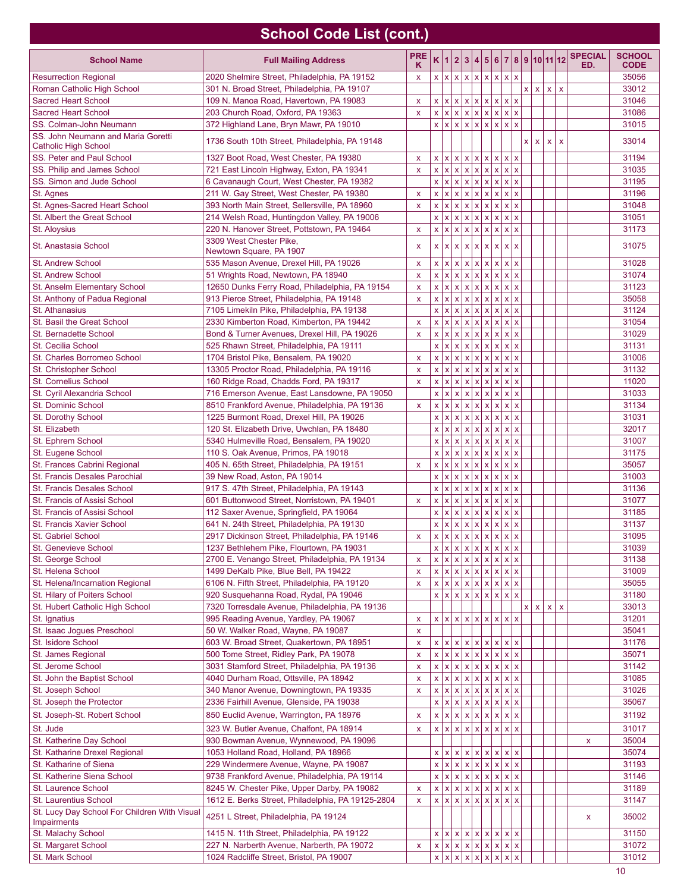## **School Code List (cont.)**

| <b>School Name</b>                           | <b>Full Mailing Address</b>                       | <b>PRE</b><br>ĸ    | K            | $\overline{1}$ |                          |              |                           |                                               |                                |   |              |               |                | $2 3 4 5 6 7 8 9 10 11 12$ SPECIAL<br>ED. | <b>SCHOOL</b><br><b>CODE</b> |
|----------------------------------------------|---------------------------------------------------|--------------------|--------------|----------------|--------------------------|--------------|---------------------------|-----------------------------------------------|--------------------------------|---|--------------|---------------|----------------|-------------------------------------------|------------------------------|
| <b>Resurrection Regional</b>                 | 2020 Shelmire Street, Philadelphia, PA 19152      |                    |              |                |                          |              |                           | x  x  x  x  x  x  x  x  x                     |                                |   |              |               |                |                                           | 35056                        |
| Roman Catholic High School                   | 301 N. Broad Street, Philadelphia, PA 19107       | x                  |              |                |                          |              |                           |                                               |                                | x | x            | $x \mid x$    |                |                                           | 33012                        |
| <b>Sacred Heart School</b>                   | 109 N. Manoa Road, Havertown, PA 19083            | x                  | x   x        |                |                          |              |                           | x x x x x x                                   |                                |   |              |               |                |                                           | 31046                        |
| <b>Sacred Heart School</b>                   | 203 Church Road, Oxford, PA 19363                 | $\mathsf{x}$       | x   x        |                |                          |              |                           | x x x x x x                                   |                                |   |              |               |                |                                           | 31086                        |
| SS. Colman-John Neumann                      | 372 Highland Lane, Bryn Mawr, PA 19010            |                    |              | x   x          |                          |              |                           | x x x x x x                                   |                                |   |              |               |                |                                           | 31015                        |
| SS. John Neumann and Maria Goretti           |                                                   |                    |              |                |                          |              |                           |                                               |                                |   |              |               |                |                                           |                              |
| <b>Catholic High School</b>                  | 1736 South 10th Street, Philadelphia, PA 19148    |                    |              |                |                          |              |                           |                                               |                                | x | $\mathsf{x}$ | $\mathbf{x}$  | $\pmb{\times}$ |                                           | 33014                        |
| SS. Peter and Paul School                    | 1327 Boot Road, West Chester, PA 19380            | X                  |              | x   x          |                          |              |                           | x x x x x x                                   |                                |   |              |               |                |                                           | 31194                        |
| SS. Philip and James School                  | 721 East Lincoln Highway, Exton, PA 19341         | $\mathsf{x}$       | x   x        |                |                          |              |                           | x x x x x x                                   |                                |   |              |               |                |                                           | 31035                        |
| SS. Simon and Jude School                    | 6 Cavanaugh Court, West Chester, PA 19382         |                    |              | x   x          |                          |              |                           | x x x x x x x                                 |                                |   |              |               |                |                                           | 31195                        |
| St. Agnes                                    | 211 W. Gay Street, West Chester, PA 19380         | $\mathsf{x}$       | x   x        |                | $x \mid x \mid x \mid x$ |              |                           | x                                             | x x                            |   |              |               |                |                                           | 31196                        |
| St. Agnes-Sacred Heart School                | 393 North Main Street, Sellersville, PA 18960     | $\mathsf{x}$       | x   x        |                |                          |              |                           | x  x  x  x  x  x  x                           |                                |   |              |               |                |                                           | 31048                        |
| St. Albert the Great School                  | 214 Welsh Road, Huntingdon Valley, PA 19006       |                    | x   x        |                | $x \mid x \mid x \mid x$ |              |                           | $x \mid x \mid x$                             |                                |   |              |               |                |                                           | 31051                        |
| St. Aloysius                                 | 220 N. Hanover Street, Pottstown, PA 19464        | x                  |              |                |                          |              |                           | x  x  x  x  x  x  x  x  x                     |                                |   |              |               |                |                                           | 31173                        |
|                                              | 3309 West Chester Pike,                           |                    |              |                |                          |              |                           |                                               |                                |   |              |               |                |                                           |                              |
| St. Anastasia School                         | Newtown Square, PA 1907                           | x                  | x   x        |                |                          |              |                           | x x x x x x                                   |                                |   |              |               |                |                                           | 31075                        |
| <b>St. Andrew School</b>                     | 535 Mason Avenue, Drexel Hill, PA 19026           | x                  |              | x   x          |                          |              |                           | x x x x x x                                   |                                |   |              |               |                |                                           | 31028                        |
| <b>St. Andrew School</b>                     | 51 Wrights Road, Newtown, PA 18940                | $\mathsf{x}$       | x   x        |                |                          |              |                           | x x x x x x                                   |                                |   |              |               |                |                                           | 31074                        |
| St. Anselm Elementary School                 | 12650 Dunks Ferry Road, Philadelphia, PA 19154    | X                  | x   x        |                |                          |              |                           | x x x x x x                                   |                                |   |              |               |                |                                           | 31123                        |
| St. Anthony of Padua Regional                | 913 Pierce Street, Philadelphia, PA 19148         | x                  | $x \mid x$   |                | $x \mid x \mid x \mid x$ |              |                           | $\mathsf{x}$                                  | $\mathsf X$<br> x              |   |              |               |                |                                           | 35058                        |
| St. Athanasius                               | 7105 Limekiln Pike, Philadelphia, PA 19138        |                    |              | x   x          |                          |              |                           | x x x x x x x                                 |                                |   |              |               |                |                                           | 31124                        |
| St. Basil the Great School                   | 2330 Kimberton Road, Kimberton, PA 19442          | x                  | x   x        |                | $x \mid x \mid x \mid x$ |              |                           | $x \mid x \mid x$                             |                                |   |              |               |                |                                           | 31054                        |
| St. Bernadette School                        | Bond & Turner Avenues, Drexel Hill, PA 19026      | x                  |              | x   x          |                          |              |                           | x x x x x x                                   |                                |   |              |               |                |                                           | 31029                        |
| St. Cecilia School                           | 525 Rhawn Street, Philadelphia, PA 19111          |                    | x   x        |                | $x \mid x \mid x \mid x$ |              |                           | x   x   x                                     |                                |   |              |               |                |                                           | 31131                        |
| St. Charles Borromeo School                  | 1704 Bristol Pike, Bensalem, PA 19020             | $\mathsf{x}$       |              | x   x          |                          |              |                           | x x x x x x x                                 |                                |   |              |               |                |                                           | 31006                        |
| St. Christopher School                       | 13305 Proctor Road, Philadelphia, PA 19116        | X                  | x   x        |                | $x \mid x \mid x \mid x$ |              |                           | $\mathsf{x}$                                  | $\mathsf X$<br>lxl             |   |              |               |                |                                           | 31132                        |
| <b>St. Cornelius School</b>                  | 160 Ridge Road, Chadds Ford, PA 19317             | $\pmb{\mathsf{x}}$ |              | x   x          |                          |              |                           | x  x  x  x  x  x  x                           |                                |   |              |               |                |                                           | 11020                        |
|                                              |                                                   |                    | $x \mid x$   |                | x x                      | $\mathbf{x}$ |                           | $\bar{\mathbf{x}}$                            | $\mathsf{x}$<br>$\mathsf{x}$   |   |              |               |                |                                           | 31033                        |
| St. Cyril Alexandria School                  | 716 Emerson Avenue, East Lansdowne, PA 19050      |                    |              |                |                          |              | $\mathbf{x}$              |                                               |                                |   |              |               |                |                                           |                              |
| St. Dominic School                           | 8510 Frankford Avenue, Philadelphia, PA 19136     | X                  |              | x   x          |                          |              |                           | x x x x x x x                                 |                                |   |              |               |                |                                           | 31134                        |
| St. Dorothy School                           | 1225 Burmont Road, Drexel Hill, PA 19026          |                    | $\mathsf{x}$ | $\mathsf{x}$   | x x                      | $\mathsf{x}$ | $\boldsymbol{\mathsf{x}}$ | $\pmb{\times}$                                | $\pmb{\mathsf{x}}$<br> x       |   |              |               |                |                                           | 31031                        |
| St. Elizabeth                                | 120 St. Elizabeth Drive, Uwchlan, PA 18480        |                    |              | $x \mid x$     |                          |              |                           | $x \mid x \mid x \mid x \mid x \mid x \mid x$ |                                |   |              |               |                |                                           | 32017                        |
| St. Ephrem School                            | 5340 Hulmeville Road, Bensalem, PA 19020          |                    | $x \mid$     | $\mathbf{x}$   | x   x   x                |              | $\vert x \vert$           | $\pmb{\mathsf{x}}$<br>x x x x                 | $\pmb{\mathsf{x}}$<br> x       |   |              |               |                |                                           | 31007                        |
| St. Eugene School                            | 110 S. Oak Avenue, Primos, PA 19018               |                    |              | x   x          |                          |              |                           |                                               |                                |   |              |               |                |                                           | 31175                        |
| St. Frances Cabrini Regional                 | 405 N. 65th Street, Philadelphia, PA 19151        | $\pmb{\mathsf{x}}$ | $\mathsf{x}$ | Ιx             | x   x   x                |              | x                         | $\mathsf X$                                   | $\mathsf{x}$<br><b>x</b>       |   |              |               |                |                                           | 35057                        |
| St. Francis Desales Parochial                | 39 New Road, Aston, PA 19014                      |                    |              | x   x          |                          |              |                           | x x x x x x                                   |                                |   |              |               |                |                                           | 31003                        |
| <b>St. Francis Desales School</b>            | 917 S. 47th Street, Philadelphia, PA 19143        |                    | x   x        |                | x x                      | $\mathbf{x}$ | $\pmb{\mathsf{x}}$        | $\bar{\mathbf{x}}$                            | $\bar{\mathbf{x}}$<br><b>x</b> |   |              |               |                |                                           | 31136                        |
| St. Francis of Assisi School                 | 601 Buttonwood Street, Norristown, PA 19401       | $\mathsf{x}$       | x   x        |                |                          |              |                           | x x x x x x                                   |                                |   |              |               |                |                                           | 31077                        |
| St. Francis of Assisi School                 | 112 Saxer Avenue, Springfield, PA 19064           |                    | x   x        |                | x x x x                  |              |                           |                                               | $x \mid x$                     |   |              |               |                |                                           | 31185                        |
| St. Francis Xavier School                    | 641 N. 24th Street, Philadelphia, PA 19130        |                    |              | x   x          |                          |              |                           | x x x x x x x                                 |                                |   |              |               |                |                                           | 31137                        |
| St. Gabriel School                           | 2917 Dickinson Street, Philadelphia, PA 19146     | $\mathsf{x}$       |              |                |                          |              |                           | x x x x x x x x                               |                                |   |              |               |                |                                           | 31095                        |
| St. Genevieve School                         | 1237 Bethlehem Pike, Flourtown, PA 19031          |                    |              |                |                          |              |                           | x x x x x x x x x x                           |                                |   |              |               |                |                                           | 31039                        |
| St. George School                            | 2700 E. Venango Street, Philadelphia, PA 19134    | x                  |              |                |                          |              |                           | x  x  x  x  x  x  x  x  x  x                  |                                |   |              |               |                |                                           | 31138                        |
| St. Helena School                            | 1499 DeKalb Pike, Blue Bell, PA 19422             | x                  |              |                |                          |              |                           | x  x  x  x  x  x  x  x  x                     |                                |   |              |               |                |                                           | 31009                        |
| St. Helena/Incarnation Regional              | 6106 N. Fifth Street, Philadelphia, PA 19120      | x                  |              |                |                          |              |                           | x  x  x  x  x  x  x  x  x  x                  |                                |   |              |               |                |                                           | 35055                        |
| St. Hilary of Poiters School                 | 920 Susquehanna Road, Rydal, PA 19046             |                    |              |                |                          |              |                           | x  x  x  x  x  x  x  x  x  x                  |                                |   |              |               |                |                                           | 31180                        |
| St. Hubert Catholic High School              | 7320 Torresdale Avenue, Philadelphia, PA 19136    |                    |              |                |                          |              |                           |                                               |                                |   |              | x   x   x   x |                |                                           | 33013                        |
| St. Ignatius                                 | 995 Reading Avenue, Yardley, PA 19067             | x                  |              |                |                          |              |                           | x  x  x  x  x  x  x  x  x                     |                                |   |              |               |                |                                           | 31201                        |
| St. Isaac Jogues Preschool                   | 50 W. Walker Road, Wayne, PA 19087                | x                  |              |                |                          |              |                           |                                               |                                |   |              |               |                |                                           | 35041                        |
| St. Isidore School                           | 603 W. Broad Street, Quakertown, PA 18951         | X                  |              |                |                          |              |                           | x  x  x  x  x  x  x  x  x                     |                                |   |              |               |                |                                           | 31176                        |
| St. James Regional                           | 500 Tome Street, Ridley Park, PA 19078            | X                  |              |                |                          |              |                           | x  x  x  x  x  x  x  x  x                     |                                |   |              |               |                |                                           | 35071                        |
| St. Jerome School                            | 3031 Stamford Street, Philadelphia, PA 19136      | X                  |              | x   x          |                          |              |                           | x x x x x x x                                 |                                |   |              |               |                |                                           | 31142                        |
| St. John the Baptist School                  | 4040 Durham Road, Ottsville, PA 18942             | x                  |              | x   x          |                          |              |                           | x x x x x x                                   |                                |   |              |               |                |                                           | 31085                        |
| St. Joseph School                            | 340 Manor Avenue, Downingtown, PA 19335           | x                  |              | x   x          |                          |              |                           | x x x x x x x                                 |                                |   |              |               |                |                                           | 31026                        |
| St. Joseph the Protector                     | 2336 Fairhill Avenue, Glenside, PA 19038          |                    |              |                |                          |              |                           | x  x  x  x  x  x  x  x  x                     |                                |   |              |               |                |                                           | 35067                        |
| St. Joseph-St. Robert School                 | 850 Euclid Avenue, Warrington, PA 18976           | X                  |              | x   x          |                          |              |                           | x x x x x x x                                 |                                |   |              |               |                |                                           | 31192                        |
| St. Jude                                     | 323 W. Butler Avenue, Chalfont, PA 18914          | X                  |              |                |                          |              |                           | x  x  x  x  x  x  x  x  x                     |                                |   |              |               |                |                                           | 31017                        |
| St. Katherine Day School                     | 930 Bowman Avenue, Wynnewood, PA 19096            |                    |              |                |                          |              |                           |                                               |                                |   |              |               |                | X                                         | 35004                        |
| St. Katharine Drexel Regional                | 1053 Holland Road, Holland, PA 18966              |                    |              |                |                          |              |                           | x  x  x  x  x  x  x  x  x                     |                                |   |              |               |                |                                           | 35074                        |
| St. Katharine of Siena                       | 229 Windermere Avenue, Wayne, PA 19087            |                    |              |                |                          |              |                           | x  x  x  x  x  x  x  x  x                     |                                |   |              |               |                |                                           | 31193                        |
| St. Katherine Siena School                   | 9738 Frankford Avenue, Philadelphia, PA 19114     |                    |              |                |                          |              |                           | x  x  x  x  x  x  x  x  x                     |                                |   |              |               |                |                                           | 31146                        |
| St. Laurence School                          | 8245 W. Chester Pike, Upper Darby, PA 19082       | X                  |              |                |                          |              |                           | x  x  x  x  x  x  x  x  x                     |                                |   |              |               |                |                                           | 31189                        |
| St. Laurentius School                        | 1612 E. Berks Street, Philadelphia, PA 19125-2804 | X                  |              |                |                          |              |                           | x  x  x  x  x  x  x  x  x  x                  |                                |   |              |               |                |                                           | 31147                        |
| St. Lucy Day School For Children With Visual |                                                   |                    |              |                |                          |              |                           |                                               |                                |   |              |               |                |                                           |                              |
| Impairments                                  | 4251 L Street, Philadelphia, PA 19124             |                    |              |                |                          |              |                           |                                               |                                |   |              |               |                | X                                         | 35002                        |
| St. Malachy School                           | 1415 N. 11th Street, Philadelphia, PA 19122       |                    |              |                |                          |              |                           | x  x  x  x  x  x  x  x  x                     |                                |   |              |               |                |                                           | 31150                        |
| St. Margaret School                          | 227 N. Narberth Avenue, Narberth, PA 19072        | X                  |              |                |                          |              |                           | x  x  x  x  x  x  x  x  x                     |                                |   |              |               |                |                                           | 31072                        |
| St. Mark School                              | 1024 Radcliffe Street, Bristol, PA 19007          |                    |              | x   x          | $x \times x$             |              |                           |                                               | x x                            |   |              |               |                |                                           | 31012                        |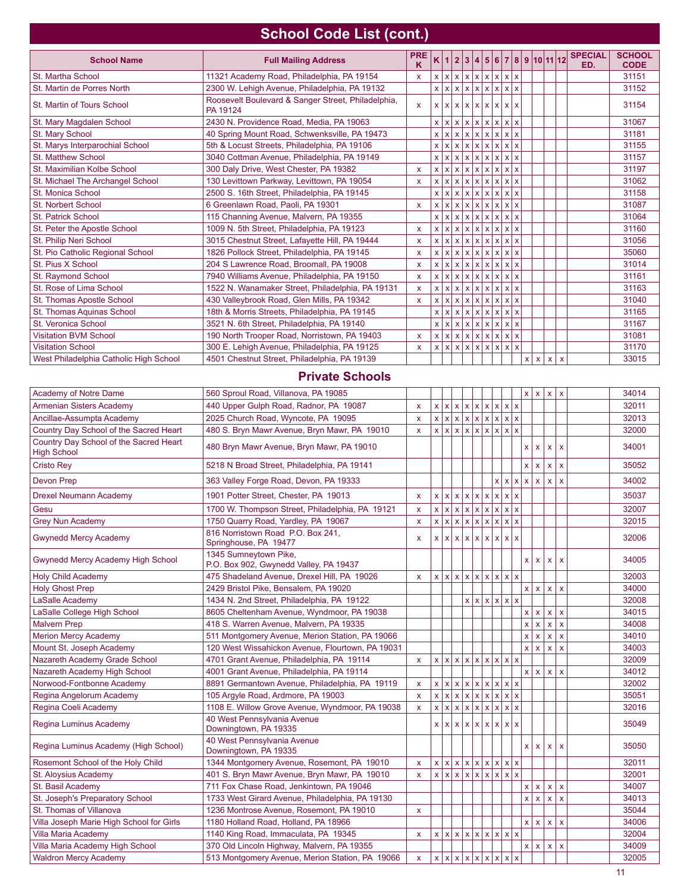## **School Code List (cont.)**

| <b>School Name</b>                     | <b>Full Mailing Address</b>                                    | <b>PRE</b><br>K |  |  | K 1 2 3 4 5 6 7 8 9 10 11 12 |     |   |                   | <b>SPECIAL</b><br>ED. | <b>SCHOOL</b><br><b>CODE</b> |
|----------------------------------------|----------------------------------------------------------------|-----------------|--|--|------------------------------|-----|---|-------------------|-----------------------|------------------------------|
| St. Martha School                      | 11321 Academy Road, Philadelphia, PA 19154                     | x               |  |  | x  x  x  x  x  x  x  x  x    |     |   |                   |                       | 31151                        |
| St. Martin de Porres North             | 2300 W. Lehigh Avenue, Philadelphia, PA 19132                  |                 |  |  | x  x  x  x  x  x  x  x  x    |     |   |                   |                       | 31152                        |
| St. Martin of Tours School             | Roosevelt Boulevard & Sanger Street, Philadelphia,<br>PA 19124 | x               |  |  | x  x  x  x  x  x  x  x  x    |     |   |                   |                       | 31154                        |
| St. Mary Magdalen School               | 2430 N. Providence Road, Media, PA 19063                       |                 |  |  | x  x  x  x  x  x  x  x  x    |     |   |                   |                       | 31067                        |
| St. Mary School                        | 40 Spring Mount Road, Schwenksville, PA 19473                  |                 |  |  | x  x  x  x  x  x  x  x  x    |     |   |                   |                       | 31181                        |
| St. Marys Interparochial School        | 5th & Locust Streets, Philadelphia, PA 19106                   |                 |  |  | x  x  x  x  x  x  x  x  x    |     |   |                   |                       | 31155                        |
| St. Matthew School                     | 3040 Cottman Avenue, Philadelphia, PA 19149                    |                 |  |  | x  x  x  x  x  x  x          | x x |   |                   |                       | 31157                        |
| St. Maximilian Kolbe School            | 300 Daly Drive, West Chester, PA 19382                         | x               |  |  | x  x  x  x  x  x  x  x  x    |     |   |                   |                       | 31197                        |
| St. Michael The Archangel School       | 130 Levittown Parkway, Levittown, PA 19054                     | x               |  |  | x  x  x  x  x  x  x  x  x    |     |   |                   |                       | 31062                        |
| St. Monica School                      | 2500 S. 16th Street, Philadelphia, PA 19145                    |                 |  |  | x  x  x  x  x  x  x  x  x    |     |   |                   |                       | 31158                        |
| <b>St. Norbert School</b>              | 6 Greenlawn Road, Paoli, PA 19301                              | X               |  |  | x  x  x  x  x  x  x  x  x    |     |   |                   |                       | 31087                        |
| <b>St. Patrick School</b>              | 115 Channing Avenue, Malvern, PA 19355                         |                 |  |  | x  x  x  x  x  x  x  x  x    |     |   |                   |                       | 31064                        |
| St. Peter the Apostle School           | 1009 N. 5th Street, Philadelphia, PA 19123                     | X               |  |  | x  x  x  x  x  x  x  x  x    |     |   |                   |                       | 31160                        |
| St. Philip Neri School                 | 3015 Chestnut Street, Lafayette Hill, PA 19444                 | x               |  |  | x  x  x  x  x  x  x  x  x    |     |   |                   |                       | 31056                        |
| St. Pio Catholic Regional School       | 1826 Pollock Street, Philadelphia, PA 19145                    | x               |  |  | x  x  x  x  x  x  x  x  x    |     |   |                   |                       | 35060                        |
| St. Pius X School                      | 204 S Lawrence Road, Broomall, PA 19008                        | x               |  |  | x  x  x  x  x  x  x  x  x    |     |   |                   |                       | 31014                        |
| St. Raymond School                     | 7940 Williams Avenue, Philadelphia, PA 19150                   | x               |  |  | x  x  x  x  x  x  x  x  x    |     |   |                   |                       | 31161                        |
| St. Rose of Lima School                | 1522 N. Wanamaker Street, Philadelphia, PA 19131               | x               |  |  | x  x  x  x  x  x  x  x  x    |     |   |                   |                       | 31163                        |
| St. Thomas Apostle School              | 430 Valleybrook Road, Glen Mills, PA 19342                     | X               |  |  | x  x  x  x  x  x  x  x  x    |     |   |                   |                       | 31040                        |
| St. Thomas Aquinas School              | 18th & Morris Streets, Philadelphia, PA 19145                  |                 |  |  | x  x  x  x  x  x  x          | x x |   |                   |                       | 31165                        |
| St. Veronica School                    | 3521 N. 6th Street, Philadelphia, PA 19140                     |                 |  |  | x  x  x  x  x  x  x  x  x    |     |   |                   |                       | 31167                        |
| <b>Visitation BVM School</b>           | 190 North Trooper Road, Norristown, PA 19403                   | X               |  |  | x  x  x  x  x  x  x  x  x    |     |   |                   |                       | 31081                        |
| <b>Visitation School</b>               | 300 E. Lehigh Avenue, Philadelphia, PA 19125                   | x               |  |  | x  x  x  x  x  x  x  x  x    |     |   |                   |                       | 31170                        |
| West Philadelphia Catholic High School | 4501 Chestnut Street, Philadelphia, PA 19139                   |                 |  |  |                              |     | x | $x \mid x \mid x$ |                       | 33015                        |

### **Private Schools**

| Academy of Notre Dame                                        | 560 Sproul Road, Villanova, PA 19085                            |              |              |  |  |                              |  |                         | x   x              | $\vert x \vert$ | $\bar{\mathbf{x}}$        | 34014 |
|--------------------------------------------------------------|-----------------------------------------------------------------|--------------|--------------|--|--|------------------------------|--|-------------------------|--------------------|-----------------|---------------------------|-------|
| <b>Armenian Sisters Academy</b>                              | 440 Upper Gulph Road, Radnor, PA 19087                          | $\mathsf{x}$ |              |  |  | x  x  x  x  x  x  x  x  x    |  |                         |                    |                 |                           | 32011 |
| Ancillae-Assumpta Academy                                    | 2025 Church Road, Wyncote, PA 19095                             | $\mathsf{x}$ |              |  |  | x  x  x  x  x  x  x  x  x    |  |                         |                    |                 |                           | 32013 |
| Country Day School of the Sacred Heart                       | 480 S. Bryn Mawr Avenue, Bryn Mawr, PA 19010                    | $\mathsf{x}$ |              |  |  | x  x  x  x  x  x  x  x  x    |  |                         |                    |                 |                           | 32000 |
| Country Day School of the Sacred Heart<br><b>High School</b> | 480 Bryn Mawr Avenue, Bryn Mawr, PA 19010                       |              |              |  |  |                              |  | x                       | X                  | $\mathsf{x}$    | $\mathsf{x}$              | 34001 |
| <b>Cristo Rey</b>                                            | 5218 N Broad Street, Philadelphia, PA 19141                     |              |              |  |  |                              |  | X                       | $\mathbf{x}$       | $\mathsf{x}$    | $\bar{\mathbf{x}}$        | 35052 |
| <b>Devon Prep</b>                                            | 363 Valley Forge Road, Devon, PA 19333                          |              |              |  |  |                              |  | x x x                   | $\mathbf{x}$       | $\mathsf{x}$    | $\mathbf{x}$              | 34002 |
| <b>Drexel Neumann Academy</b>                                | 1901 Potter Street, Chester, PA 19013                           | $\mathsf{x}$ | $\mathsf{x}$ |  |  | x x x x x x x                |  |                         |                    |                 |                           | 35037 |
| Gesu                                                         | 1700 W. Thompson Street, Philadelphia, PA 19121                 | X            |              |  |  | x  x  x  x  x  x  x  x  x    |  |                         |                    |                 |                           | 32007 |
| <b>Grey Nun Academy</b>                                      | 1750 Quarry Road, Yardley, PA 19067                             | $\mathsf{x}$ |              |  |  | x  x  x  x  x  x  x  x  x    |  |                         |                    |                 |                           | 32015 |
| <b>Gwynedd Mercy Academy</b>                                 | 816 Norristown Road P.O. Box 241,<br>Springhouse, PA 19477      | $\mathsf{x}$ |              |  |  | x  x  x  x  x  x  x  x  x    |  |                         |                    |                 |                           | 32006 |
| Gwynedd Mercy Academy High School                            | 1345 Sumneytown Pike,<br>P.O. Box 902, Gwynedd Valley, PA 19437 |              |              |  |  |                              |  | <b>X</b>                | $\mathbf{x}$       | $\mathsf{x}$    | x                         | 34005 |
| <b>Holy Child Academy</b>                                    | 475 Shadeland Avenue, Drexel Hill, PA 19026                     | $\mathsf{x}$ |              |  |  | x  x  x  x  x  x  x  x  x    |  |                         |                    |                 |                           | 32003 |
| <b>Holy Ghost Prep</b>                                       | 2429 Bristol Pike, Bensalem, PA 19020                           |              |              |  |  |                              |  |                         | x   x              | $\vert x \vert$ | $\mathbf{x}$              | 34000 |
| LaSalle Academy                                              | 1434 N. 2nd Street, Philadelphia, PA 19122                      |              |              |  |  | x  x  x  x  x  x             |  |                         |                    |                 |                           | 32008 |
| LaSalle College High School                                  | 8605 Cheltenham Avenue, Wyndmoor, PA 19038                      |              |              |  |  |                              |  | x                       | $\mathbf{x}$       | $\mathsf{x}$    | $\mathbf{x}$              | 34015 |
| <b>Malvern Prep</b>                                          | 418 S. Warren Avenue, Malvern, PA 19335                         |              |              |  |  |                              |  | x                       | $\mathsf X$        | $\mathsf{x}$    | $\mathbf{x}$              | 34008 |
| <b>Merion Mercy Academy</b>                                  | 511 Montgomery Avenue, Merion Station, PA 19066                 |              |              |  |  |                              |  | $\mathsf{x}$            | $\mathbf{x}$       | $\mathbf{x}$    | $\mathsf X$               | 34010 |
| Mount St. Joseph Academy                                     | 120 West Wissahickon Avenue, Flourtown, PA 19031                |              |              |  |  |                              |  | $\mathbf{x}$            | $\mathbf{x}$       | $\mathsf{x}$    | $\mathbf{x}$              | 34003 |
| Nazareth Academy Grade School                                | 4701 Grant Avenue, Philadelphia, PA 19114                       | $\mathsf{x}$ |              |  |  | x  x  x  x  x  x  x  x  x    |  |                         |                    |                 |                           | 32009 |
| Nazareth Academy High School                                 | 4001 Grant Avenue, Philadelphia, PA 19114                       |              |              |  |  |                              |  | x <sub>1</sub>          | $\vert x \vert$    | $\mathbf{x}$    | $\overline{\mathbf{x}}$   | 34012 |
| Norwood-Fontbonne Academy                                    | 8891 Germantown Avenue, Philadelphia, PA 19119                  | $\mathsf{x}$ |              |  |  | x  x  x  x  x  x  x  x  x    |  |                         |                    |                 |                           | 32002 |
| Regina Angelorum Academy                                     | 105 Argyle Road, Ardmore, PA 19003                              | $\mathbf{x}$ |              |  |  | x x x x x x x x              |  |                         |                    |                 |                           | 35051 |
| Regina Coeli Academy                                         | 1108 E. Willow Grove Avenue, Wyndmoor, PA 19038                 | $\mathsf{x}$ |              |  |  | x  x  x  x  x  x  x  x  x    |  |                         |                    |                 |                           | 32016 |
| Regina Luminus Academy                                       | 40 West Pennsylvania Avenue<br>Downingtown, PA 19335            |              |              |  |  | x  x  x  x  x  x  x  x  x    |  |                         |                    |                 |                           | 35049 |
| Regina Luminus Academy (High School)                         | 40 West Pennsylvania Avenue<br>Downingtown, PA 19335            |              |              |  |  |                              |  | x                       | $\mathbf{x}$       | $\mathsf{x}$    | $\mathbf{x}$              | 35050 |
| Rosemont School of the Holy Child                            | 1344 Montgomery Avenue, Rosemont, PA 19010                      | $\mathsf{x}$ |              |  |  | x  x  x  x  x  x  x  x  x    |  |                         |                    |                 |                           | 32011 |
| St. Aloysius Academy                                         | 401 S. Bryn Mawr Avenue, Bryn Mawr, PA 19010                    | $\mathsf{x}$ |              |  |  | x  x  x  x  x  x  x  x  x    |  |                         |                    |                 |                           | 32001 |
| St. Basil Academy                                            | 711 Fox Chase Road, Jenkintown, PA 19046                        |              |              |  |  |                              |  | x                       | $\mathbf{x}$       | $\mathsf{x}$    | $\bar{\mathbf{x}}$        | 34007 |
| St. Joseph's Preparatory School                              | 1733 West Girard Avenue, Philadelphia, PA 19130                 |              |              |  |  |                              |  | $\overline{\mathbf{x}}$ | $\mathbf{x}$       | $\mathbf{x}$    | $\mathbf{x}$              | 34013 |
| St. Thomas of Villanova                                      | 1236 Montrose Avenue, Rosemont, PA 19010                        | $\mathsf{x}$ |              |  |  |                              |  |                         |                    |                 |                           | 35044 |
| Villa Joseph Marie High School for Girls                     | 1180 Holland Road, Holland, PA 18966                            |              |              |  |  |                              |  | $\mathsf{x}$            | $\mathbf{x}$       | $\mathsf{x}$    | $\mathbf{x}$              | 34006 |
| Villa Maria Academy                                          | 1140 King Road, Immaculata, PA 19345                            | $\mathsf{x}$ |              |  |  | x  x  x  x  x  x  x  x  x    |  |                         |                    |                 |                           | 32004 |
| Villa Maria Academy High School                              | 370 Old Lincoln Highway, Malvern, PA 19355                      |              |              |  |  |                              |  | X                       | $\pmb{\mathsf{X}}$ | $\mathsf{x}$    | $\boldsymbol{\mathsf{x}}$ | 34009 |
| <b>Waldron Mercy Academy</b>                                 | 513 Montgomery Avenue, Merion Station, PA 19066                 | $\mathsf{x}$ |              |  |  | x  x  x  x  x  x  x  x  x  x |  |                         |                    |                 |                           | 32005 |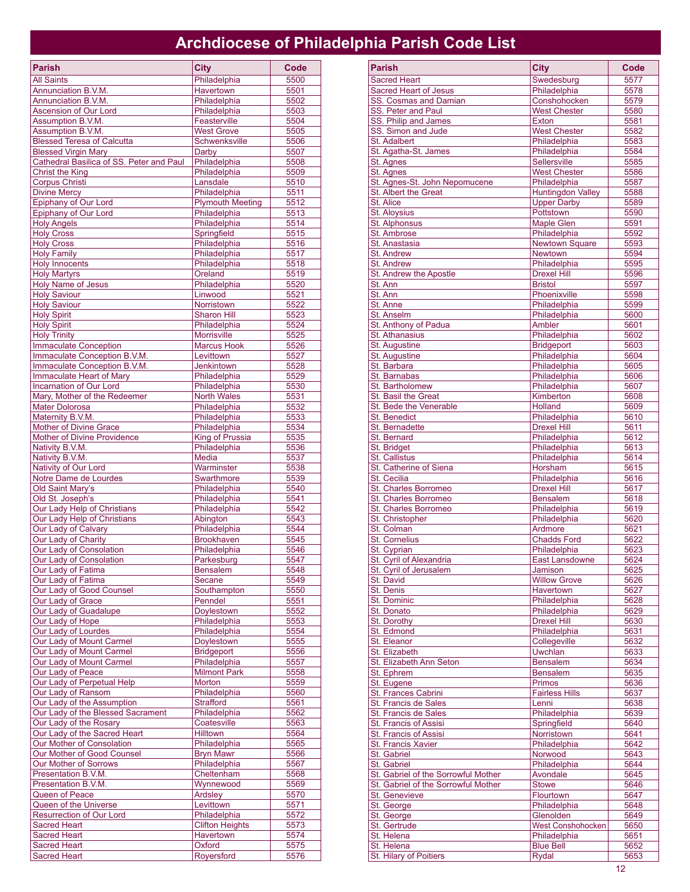## **Archdiocese of Philadelphia Parish Code List**

| <b>Parish</b>                                   | <b>City</b>                         | Code         |
|-------------------------------------------------|-------------------------------------|--------------|
| <b>All Saints</b>                               | Philadelphia                        | 5500         |
| Annunciation B.V.M.                             | Havertown                           | 5501         |
| Annunciation B.V.M.                             | Philadelphia                        | 5502         |
| <b>Ascension of Our Lord</b>                    | Philadelphia                        | 5503         |
| Assumption B.V.M.                               | Feasterville                        | 5504         |
| Assumption B.V.M.                               | <b>West Grove</b>                   | 5505         |
| <b>Blessed Teresa of Calcutta</b>               | Schwenksville                       | 5506         |
| <b>Blessed Virgin Mary</b>                      | Darby                               | 5507         |
| Cathedral Basilica of SS. Peter and Paul        | Philadelphia                        | 5508         |
| <b>Christ the King</b>                          | Philadelphia                        | 5509         |
| <b>Corpus Christi</b>                           | Lansdale                            | 5510         |
| <b>Divine Mercy</b>                             | Philadelphia                        | 5511         |
| Epiphany of Our Lord                            | <b>Plymouth Meeting</b>             | 5512         |
| Epiphany of Our Lord                            | Philadelphia                        | 5513         |
| <b>Holy Angels</b>                              | Philadelphia                        | 5514         |
| <b>Holy Cross</b>                               | Springfield                         | 5515         |
| <b>Holy Cross</b>                               | Philadelphia                        | 5516         |
| <b>Holy Family</b>                              | Philadelphia                        | 5517         |
| <b>Holy Innocents</b>                           | Philadelphia                        | 5518         |
| <b>Holy Martyrs</b>                             | Oreland                             | 5519         |
| <b>Holy Name of Jesus</b>                       | Philadelphia                        | 5520         |
| <b>Holy Saviour</b>                             | Linwood                             | 5521         |
| <b>Holy Saviour</b>                             | Norristown                          | 5522         |
| <b>Holy Spirit</b>                              | <b>Sharon Hill</b>                  | 5523         |
| <b>Holy Spirit</b><br><b>Holy Trinity</b>       | Philadelphia<br><b>Morrisville</b>  | 5524         |
| <b>Immaculate Conception</b>                    | <b>Marcus Hook</b>                  | 5525<br>5526 |
| Immaculate Conception B.V.M.                    | Levittown                           | 5527         |
| Immaculate Conception B.V.M.                    | <b>Jenkintown</b>                   | 5528         |
| Immaculate Heart of Mary                        | Philadelphia                        | 5529         |
| Incarnation of Our Lord                         | Philadelphia                        | 5530         |
| Mary, Mother of the Redeemer                    | <b>North Wales</b>                  | 5531         |
| <b>Mater Dolorosa</b>                           | Philadelphia                        | 5532         |
| Maternity B.V.M.                                | Philadelphia                        | 5533         |
| Mother of Divine Grace                          | Philadelphia                        | 5534         |
| <b>Mother of Divine Providence</b>              | King of Prussia                     | 5535         |
| Nativity B.V.M.                                 | Philadelphia                        | 5536         |
| Nativity B.V.M.                                 | Media                               | 5537         |
| Nativity of Our Lord                            | Warminster                          | 5538         |
| Notre Dame de Lourdes                           | Swarthmore                          | 5539         |
| Old Saint Mary's                                | Philadelphia                        | 5540         |
| Old St. Joseph's                                | Philadelphia                        | 5541         |
| Our Lady Help of Christians                     | Philadelphia                        | 5542         |
| Our Lady Help of Christians                     | Abington                            | 5543         |
| Our Lady of Calvary                             | Philadelphia                        | 5544         |
| Our Lady of Charity                             | <b>Brookhaven</b>                   | 5545         |
| Our Lady of Consolation                         | Philadelphia                        | 5546         |
| Our Lady of Consolation                         | Parkesburg                          | 5547         |
| Our Lady of Fatima<br>Our Lady of Fatima        | <b>Bensalem</b><br>Secane           | 5548<br>5549 |
| Our Lady of Good Counsel                        | Southampton                         | 5550         |
| Our Lady of Grace                               | Penndel                             | 5551         |
| Our Lady of Guadalupe                           | Doylestown                          | 5552         |
| Our Lady of Hope                                | Philadelphia                        | 5553         |
| Our Lady of Lourdes                             | Philadelphia                        | 5554         |
| Our Lady of Mount Carmel                        | Doylestown                          | 5555         |
| Our Lady of Mount Carmel                        | <b>Bridgeport</b>                   | 5556         |
| Our Lady of Mount Carmel                        | Philadelphia                        | 5557         |
| Our Lady of Peace                               | <b>Milmont Park</b>                 | 5558         |
| Our Lady of Perpetual Help                      | Morton                              | 5559         |
| Our Lady of Ransom                              | Philadelphia                        | 5560         |
| Our Lady of the Assumption                      | <b>Strafford</b>                    | 5561         |
| Our Lady of the Blessed Sacrament               | Philadelphia                        | 5562         |
| Our Lady of the Rosary                          | Coatesville                         | 5563         |
| Our Lady of the Sacred Heart                    | Hilltown                            | 5564         |
| Our Mother of Consolation                       | Philadelphia                        | 5565         |
| Our Mother of Good Counsel                      | <b>Bryn Mawr</b>                    | 5566         |
| Our Mother of Sorrows                           | Philadelphia                        | 5567         |
| Presentation B.V.M.                             | Cheltenham                          | 5568         |
| Presentation B.V.M.                             | Wynnewood                           | 5569         |
| Queen of Peace                                  | Ardsley                             | 5570         |
| Queen of the Universe                           | Levittown                           | 5571         |
| Resurrection of Our Lord<br><b>Sacred Heart</b> | Philadelphia                        | 5572         |
| <b>Sacred Heart</b>                             | <b>Clifton Heights</b><br>Havertown | 5573<br>5574 |
| <b>Sacred Heart</b>                             | Oxford                              | 5575         |
| <b>Sacred Heart</b>                             | Royersford                          | 5576         |
|                                                 |                                     |              |

| <b>Parish</b>                                 | <b>City</b>                              | Code         |
|-----------------------------------------------|------------------------------------------|--------------|
| <b>Sacred Heart</b>                           | Swedesburg                               | 5577         |
| <b>Sacred Heart of Jesus</b>                  | Philadelphia                             | 5578         |
| SS. Cosmas and Damian                         | Conshohocken                             | 5579         |
| SS. Peter and Paul                            | <b>West Chester</b><br>Exton             | 5580         |
| SS. Philip and James<br>SS. Simon and Jude    | <b>West Chester</b>                      | 5581<br>5582 |
| St. Adalbert                                  | Philadelphia                             | 5583         |
| St. Agatha-St. James                          | Philadelphia                             | 5584         |
| St. Agnes                                     | Sellersville                             | 5585         |
| St. Agnes                                     | <b>West Chester</b>                      | 5586         |
| St. Agnes-St. John Nepomucene                 | Philadelphia<br><b>Huntingdon Valley</b> | 5587         |
| St. Albert the Great<br>St. Alice             | <b>Upper Darby</b>                       | 5588<br>5589 |
| <b>St. Aloysius</b>                           | Pottstown                                | 5590         |
| St. Alphonsus                                 | <b>Maple Glen</b>                        | 5591         |
| <b>St. Ambrose</b>                            | Philadelphia                             | 5592         |
| St. Anastasia                                 | <b>Newtown Square</b>                    | 5593         |
| <b>St. Andrew</b>                             | Newtown                                  | 5594         |
| <b>St. Andrew</b><br>St. Andrew the Apostle   | Philadelphia<br><b>Drexel Hill</b>       | 5595<br>5596 |
| St. Ann                                       | <b>Bristol</b>                           | 5597         |
| St. Ann                                       | Phoenixville                             | 5598         |
| St. Anne                                      | Philadelphia                             | 5599         |
| <b>St. Anselm</b>                             | Philadelphia                             | 5600         |
| St. Anthony of Padua                          | Ambler                                   | 5601         |
| St. Athanasius<br>St. Augustine               | Philadelphia<br>Bridgeport               | 5602<br>5603 |
| St. Augustine                                 | Philadelphia                             | 5604         |
| St. Barbara                                   | Philadelphia                             | 5605         |
| St. Barnabas                                  | Philadelphia                             | 5606         |
| St. Bartholomew                               | Philadelphia                             | 5607         |
| St. Basil the Great                           | Kimberton                                | 5608         |
| St. Bede the Venerable                        | Holland<br>Philadelphia                  | 5609         |
| <b>St. Benedict</b><br>St. Bernadette         | <b>Drexel Hill</b>                       | 5610<br>5611 |
| St. Bernard                                   | Philadelphia                             | 5612         |
| St. Bridget                                   | Philadelphia                             | 5613         |
| <b>St. Callistus</b>                          | Philadelphia                             | 5614         |
| St. Catherine of Siena                        | Horsham                                  | 5615         |
| St. Cecilia                                   | Philadelphia                             | 5616         |
| St. Charles Borromeo<br>St. Charles Borromeo  | <b>Drexel Hill</b><br><b>Bensalem</b>    | 5617<br>5618 |
| St. Charles Borromeo                          | Philadelphia                             | 5619         |
| St. Christopher                               | Philadelphia                             | 5620         |
| St. Colman                                    | Ardmore                                  | 5621         |
| <b>St. Cornelius</b>                          | Chadds Ford                              | 5622         |
| St. Cyprian                                   | Philadelphia                             | 5623         |
| St. Cyril of Alexandria                       | <b>East Lansdowne</b><br>Jamison         | 5624         |
| St. Cyril of Jerusalem<br>St. David           | <b>Willow Grove</b>                      | 5625<br>5626 |
| St. Denis                                     | Havertown                                | 5627         |
| St. Dominic                                   | Philadelphia                             | 5628         |
| St. Donato                                    | Philadelphia                             | 5629         |
| St. Dorothy                                   | <b>Drexel Hill</b>                       | 5630         |
| St. Edmond                                    | Philadelphia                             | 5631         |
| St. Eleanor<br>St. Elizabeth                  | Collegeville<br>Uwchlan                  | 5632<br>5633 |
| St. Elizabeth Ann Seton                       | <b>Bensalem</b>                          | 5634         |
| St. Ephrem                                    | <b>Bensalem</b>                          | 5635         |
| St. Eugene                                    | Primos                                   | 5636         |
| St. Frances Cabrini                           | <b>Fairless Hills</b>                    | 5637         |
| St. Francis de Sales                          | Lenni                                    | 5638         |
| St. Francis de Sales<br>St. Francis of Assisi | Philadelphia                             | 5639<br>5640 |
| St. Francis of Assisi                         | Springfield<br>Norristown                | 5641         |
| St. Francis Xavier                            | Philadelphia                             | 5642         |
| St. Gabriel                                   | Norwood                                  | 5643         |
| St. Gabriel                                   | Philadelphia                             | 5644         |
| St. Gabriel of the Sorrowful Mother           | Avondale                                 | 5645         |
| St. Gabriel of the Sorrowful Mother           | <b>Stowe</b>                             | 5646         |
| St. Genevieve<br>St. George                   | Flourtown<br>Philadelphia                | 5647<br>5648 |
| St. George                                    | Glenolden                                | 5649         |
| St. Gertrude                                  | West Conshohocken                        | 5650         |
| St. Helena                                    | Philadelphia                             | 5651         |
| St. Helena                                    | <b>Blue Bell</b>                         | 5652         |
| St. Hilary of Poitiers                        | Rydal                                    | 5653         |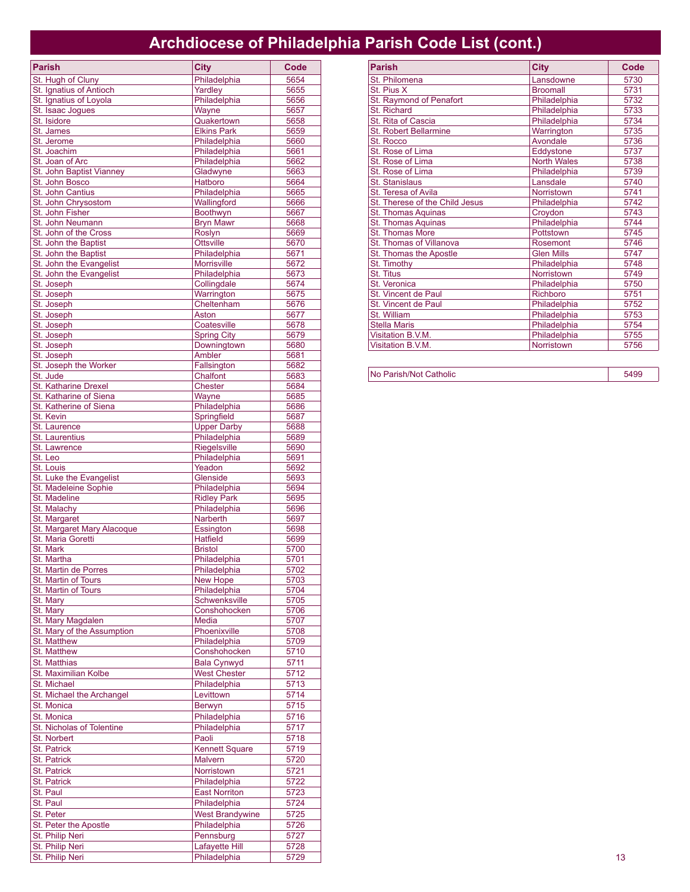## **Archdiocese of Philadelphia Parish Code List (cont.)**

| <b>Parish</b>                                  | <b>City</b>                          | Code         |
|------------------------------------------------|--------------------------------------|--------------|
| St. Hugh of Cluny                              | Philadelphia                         | 5654         |
| St. Ignatius of Antioch                        | Yardley                              | 5655         |
| St. Ignatius of Loyola                         | Philadelphia                         | 5656         |
| St. Isaac Jogues                               | Wayne                                | 5657         |
| St. Isidore<br>St. James                       | Quakertown<br><b>Elkins Park</b>     | 5658<br>5659 |
| St. Jerome                                     | Philadelphia                         | 5660         |
| St. Joachim                                    | Philadelphia                         | 5661         |
| St. Joan of Arc                                | Philadelphia                         | 5662         |
| St. John Baptist Vianney                       | Gladwyne                             | 5663         |
| St. John Bosco                                 | Hatboro                              | 5664         |
| St. John Cantius                               | Philadelphia                         | 5665         |
| St. John Chrysostom<br>St. John Fisher         | Wallingford<br>Boothwyn              | 5666<br>5667 |
| St. John Neumann                               | <b>Brvn Mawr</b>                     | 5668         |
| St. John of the Cross                          | Roslyn                               | 5669         |
| St. John the Baptist                           | <b>Ottsville</b>                     | 5670         |
| St. John the Baptist                           | Philadelphia                         | 5671         |
| St. John the Evangelist                        | <b>Morrisville</b>                   | 5672         |
| St. John the Evangelist                        | Philadelphia                         | 5673         |
| St. Joseph                                     | Collingdale                          | 5674         |
| St. Joseph                                     | Warrington<br>Cheltenham             | 5675<br>5676 |
| St. Joseph<br>St. Joseph                       | Aston                                | 5677         |
| St. Joseph                                     | Coatesville                          | 5678         |
| St. Joseph                                     | <b>Spring City</b>                   | 5679         |
| St. Joseph                                     | Downingtown                          | 5680         |
| St. Joseph                                     | Ambler                               | 5681         |
| St. Joseph the Worker                          | Fallsington                          | 5682         |
| St. Jude                                       | Chalfont                             | 5683         |
| St. Katharine Drexel<br>St. Katharine of Siena | <b>Chester</b><br>Wayne              | 5684<br>5685 |
| St. Katherine of Siena                         | Philadelphia                         | 5686         |
| St. Kevin                                      | Springfield                          | 5687         |
| St. Laurence                                   | <b>Upper Darby</b>                   | 5688         |
| <b>St. Laurentius</b>                          | Philadelphia                         | 5689         |
| St. Lawrence                                   | Riegelsville                         | 5690         |
| St. Leo                                        | Philadelphia                         | 5691         |
| St. Louis<br>St. Luke the Evangelist           | Yeadon                               | 5692         |
| St. Madeleine Sophie                           | Glenside<br>Philadelphia             | 5693<br>5694 |
| St. Madeline                                   | <b>Ridley Park</b>                   | 5695         |
| St. Malachy                                    | Philadelphia                         | 5696         |
| St. Margaret                                   | Narberth                             | 5697         |
| St. Margaret Mary Alacoque                     | Essington                            | 5698         |
| St. Maria Goretti                              | <b>Hatfield</b>                      | 5699         |
| St. Mark                                       | <b>Bristol</b>                       | 5700         |
| St. Martha<br>St. Martin de Porres             | Philadelphia<br>Philadelphia         | 5701<br>5702 |
| St. Martin of Tours                            | New Hope                             | 5703         |
| St. Martin of Tours                            | Philadelphia                         | 5704         |
| St. Mary                                       | Schwenksville                        | 5705         |
| St. Mary                                       | Conshohocken                         | 5706         |
| St. Mary Magdalen                              | Media                                | 5707         |
| St. Mary of the Assumption                     | Phoenixville                         | 5708         |
| St. Matthew<br><b>St. Matthew</b>              | Philadelphia<br>Conshohocken         | 5709<br>5710 |
| <b>St. Matthias</b>                            | <b>Bala Cynwyd</b>                   | 5711         |
| St. Maximilian Kolbe                           | <b>West Chester</b>                  | 5712         |
| St. Michael                                    | Philadelphia                         | 5713         |
| St. Michael the Archangel                      | Levittown                            | 5714         |
| St. Monica                                     | Berwyn                               | 5715         |
| St. Monica                                     | Philadelphia                         | 5716         |
| St. Nicholas of Tolentine                      | Philadelphia                         | 5717         |
| <b>St. Norbert</b>                             | Paoli                                | 5718         |
| St. Patrick                                    | <b>Kennett Square</b>                | 5719         |
| <b>St. Patrick</b>                             | Malvern                              | 5720         |
| <b>St. Patrick</b>                             | Norristown                           | 5721         |
| St. Patrick                                    | Philadelphia                         | 5722         |
| St. Paul<br>St. Paul                           | <b>East Norriton</b><br>Philadelphia | 5723<br>5724 |
| St. Peter                                      | <b>West Brandywine</b>               | 5725         |
| St. Peter the Apostle                          | Philadelphia                         | 5726         |
| St. Philip Neri                                | Pennsburg                            | 5727         |
| St. Philip Neri                                | Lafayette Hill                       | 5728         |
| St. Philip Neri                                | Philadelphia                         | 5729         |

| <b>Parish</b>                  | <b>City</b>        | Code |
|--------------------------------|--------------------|------|
| St. Philomena                  | Lansdowne          | 5730 |
| St. Pius X                     | <b>Broomall</b>    | 5731 |
| St. Raymond of Penafort        | Philadelphia       | 5732 |
| <b>St. Richard</b>             | Philadelphia       | 5733 |
| St. Rita of Cascia             | Philadelphia       | 5734 |
| <b>St. Robert Bellarmine</b>   | Warrington         | 5735 |
| St. Rocco                      | Avondale           | 5736 |
| St. Rose of Lima               | Eddystone          | 5737 |
| St. Rose of Lima               | <b>North Wales</b> | 5738 |
| St. Rose of Lima               | Philadelphia       | 5739 |
| <b>St. Stanislaus</b>          | Lansdale           | 5740 |
| St. Teresa of Avila            | Norristown         | 5741 |
| St. Therese of the Child Jesus | Philadelphia       | 5742 |
| St. Thomas Aquinas             | Croydon            | 5743 |
| St. Thomas Aquinas             | Philadelphia       | 5744 |
| <b>St. Thomas More</b>         | Pottstown          | 5745 |
| St. Thomas of Villanova        | Rosemont           | 5746 |
| St. Thomas the Apostle         | <b>Glen Mills</b>  | 5747 |
| St. Timothy                    | Philadelphia       | 5748 |
| <b>St. Titus</b>               | Norristown         | 5749 |
| St. Veronica                   | Philadelphia       | 5750 |
| St. Vincent de Paul            | Richboro           | 5751 |
| St. Vincent de Paul            | Philadelphia       | 5752 |
| St. William                    | Philadelphia       | 5753 |
| <b>Stella Maris</b>            | Philadelphia       | 5754 |
| Visitation B.V.M.              | Philadelphia       | 5755 |
| Visitation B.V.M.              | Norristown         | 5756 |

| No Parish/Not Catholic | 5499 |
|------------------------|------|
|------------------------|------|